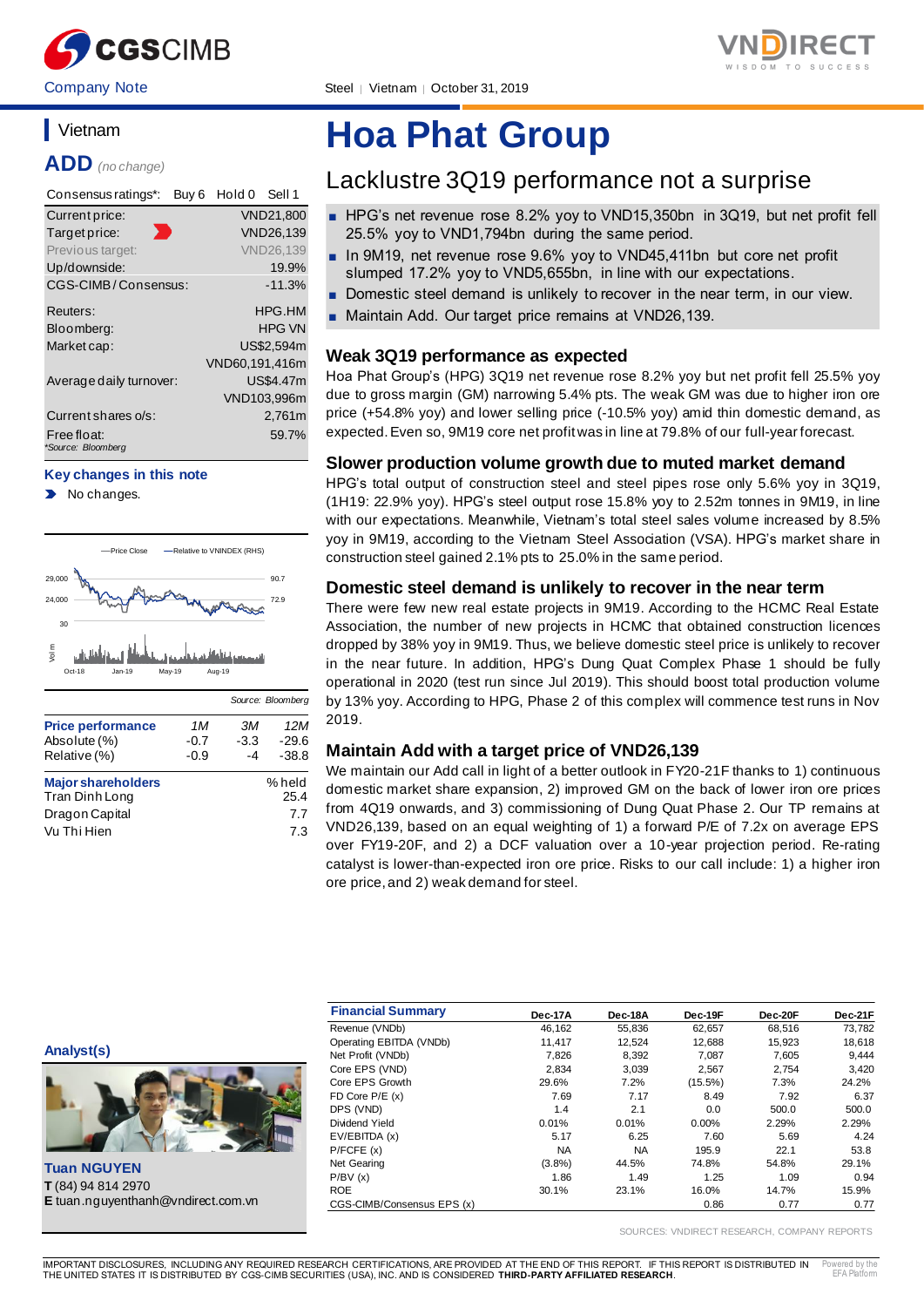



Company Note Steel | Vietnam | October 31, 2019

## **Vietnam**

**ADD** *(no change)*

| Consensus ratings*:               | Buy <sub>6</sub> | Hold 0         | Sell 1           |
|-----------------------------------|------------------|----------------|------------------|
| Current price:                    |                  |                | <b>VND21.800</b> |
| Ð<br>Target price:                |                  |                | <b>VND26.139</b> |
| Previous target:                  |                  |                | <b>VND26.139</b> |
| Up/downside:                      |                  |                | 19.9%            |
| CGS-CIMB/Consensus:               |                  |                | $-11.3%$         |
| Reuters:                          |                  |                | HPG.HM           |
| Bloomberg:                        |                  |                | <b>HPG VN</b>    |
| Market cap:                       |                  |                | US\$2,594m       |
|                                   |                  | VND60,191,416m |                  |
| Average daily turnover:           |                  |                | US\$4.47m        |
|                                   |                  |                | VND103,996m      |
| Current shares o/s:               |                  |                | 2.761m           |
| Free float:<br>*Source: Bloomberg |                  |                | 59.7%            |

#### **Key changes in this note**

No changes.



|                           |        |        | Source: Bloomberg |
|---------------------------|--------|--------|-------------------|
| <b>Price performance</b>  | 1M     | ЗМ     | 12M               |
| Absolute (%)              | $-0.7$ | $-3.3$ | $-29.6$           |
| Relative (%)              | $-0.9$ | -4     | $-38.8$           |
| <b>Major shareholders</b> |        |        | % held            |
| Tran Dinh Long            |        |        | 25.4              |
| Dragon Capital            |        |        | 7.7               |
| Vu Thi Hien               |        |        | 7.3               |

# **Hoa Phat Group**

## Lacklustre 3Q19 performance not a surprise

- HPG's net revenue rose 8.2% yoy to VND15,350bn in 3Q19, but net profit fell 25.5% yoy to VND1,794bn during the same period.
- In 9M19, net revenue rose 9.6% yoy to VND45,411bn but core net profit slumped 17.2% yoy to VND5,655bn, in line with our expectations.
- Domestic steel demand is unlikely to recover in the near term, in our view.
- Maintain Add. Our target price remains at VND26,139.

### **Weak 3Q19 performance as expected**

Hoa Phat Group's (HPG) 3Q19 net revenue rose 8.2% yoy but net profit fell 25.5% yoy due to gross margin (GM) narrowing 5.4% pts. The weak GM was due to higher iron ore price (+54.8% yoy) and lower selling price (-10.5% yoy) amid thin domestic demand, as expected. Even so, 9M19 core net profit was in line at 79.8% of our full-year forecast.

### **Slower production volume growth due to muted market demand**

HPG's total output of construction steel and steel pipes rose only 5.6% yoy in 3Q19, (1H19: 22.9% yoy). HPG's steel output rose 15.8% yoy to 2.52m tonnes in 9M19, in line with our expectations. Meanwhile, Vietnam's total steel sales volume increased by 8.5% yoy in 9M19, according to the Vietnam Steel Association (VSA). HPG's market share in construction steel gained 2.1% pts to 25.0% in the same period.

#### **Domestic steel demand is unlikely to recover in the near term**

There were few new real estate projects in 9M19. According to the HCMC Real Estate Association, the number of new projects in HCMC that obtained construction licences dropped by 38% yoy in 9M19. Thus, we believe domestic steel price is unlikely to recover in the near future. In addition, HPG's Dung Quat Complex Phase 1 should be fully operational in 2020 (test run since Jul 2019). This should boost total production volume by 13% yoy. According to HPG, Phase 2 of this complex will commence test runs in Nov 2019.

### **Maintain Add with a target price of VND26,139**

We maintain our Add call in light of a better outlook in FY20-21F thanks to 1) continuous domestic market share expansion, 2) improved GM on the back of lower iron ore prices from 4Q19 onwards, and 3) commissioning of Dung Quat Phase 2. Our TP remains at VND26,139, based on an equal weighting of 1) a forward P/E of 7.2x on average EPS over FY19-20F, and 2) a DCF valuation over a 10-year projection period. Re-rating catalyst is lower-than-expected iron ore price. Risks to our call include: 1) a higher iron ore price, and 2) weak demand for steel.



|                                           | <b>Financial Summary</b>   | Dec-17A   | Dec-18A   | Dec-19F    | Dec-20F | Dec-21F |
|-------------------------------------------|----------------------------|-----------|-----------|------------|---------|---------|
|                                           | Revenue (VNDb)             | 46,162    | 55,836    | 62,657     | 68,516  | 73,782  |
|                                           | Operating EBITDA (VNDb)    | 11.417    | 12,524    | 12,688     | 15,923  | 18,618  |
| Analyst(s)                                | Net Profit (VNDb)          | 7,826     | 8,392     | 7,087      | 7,605   | 9,444   |
|                                           | Core EPS (VND)             | 2,834     | 3,039     | 2,567      | 2,754   | 3,420   |
| L                                         | Core EPS Growth            | 29.6%     | 7.2%      | $(15.5\%)$ | 7.3%    | 24.2%   |
|                                           | $FD$ Core $P/E$ (x)        | 7.69      | 7.17      | 8.49       | 7.92    | 6.37    |
|                                           | DPS (VND)                  | 1.4       | 2.1       | 0.0        | 500.0   | 500.0   |
|                                           | Dividend Yield             | 0.01%     | 0.01%     | 0.00%      | 2.29%   | 2.29%   |
|                                           | EV/EBITDA (x)              | 5.17      | 6.25      | 7.60       | 5.69    | 4.24    |
|                                           | P/FCFE(x)                  | <b>NA</b> | <b>NA</b> | 195.9      | 22.1    | 53.8    |
| <b>Tuan NGUYEN</b>                        | Net Gearing                | (3.8%)    | 44.5%     | 74.8%      | 54.8%   | 29.1%   |
|                                           | P/BV(x)                    | 1.86      | 1.49      | 1.25       | 1.09    | 0.94    |
| T (84) 94 814 2970                        | <b>ROE</b>                 | 30.1%     | 23.1%     | 16.0%      | 14.7%   | 15.9%   |
| <b>E</b> tuan.nguyenthanh@vndirect.com.vn | CGS-CIMB/Consensus EPS (x) |           |           | 0.86       | 0.77    | 0.77    |

SOURCES: VNDIRECT RESEARCH, COMPANY REPORTS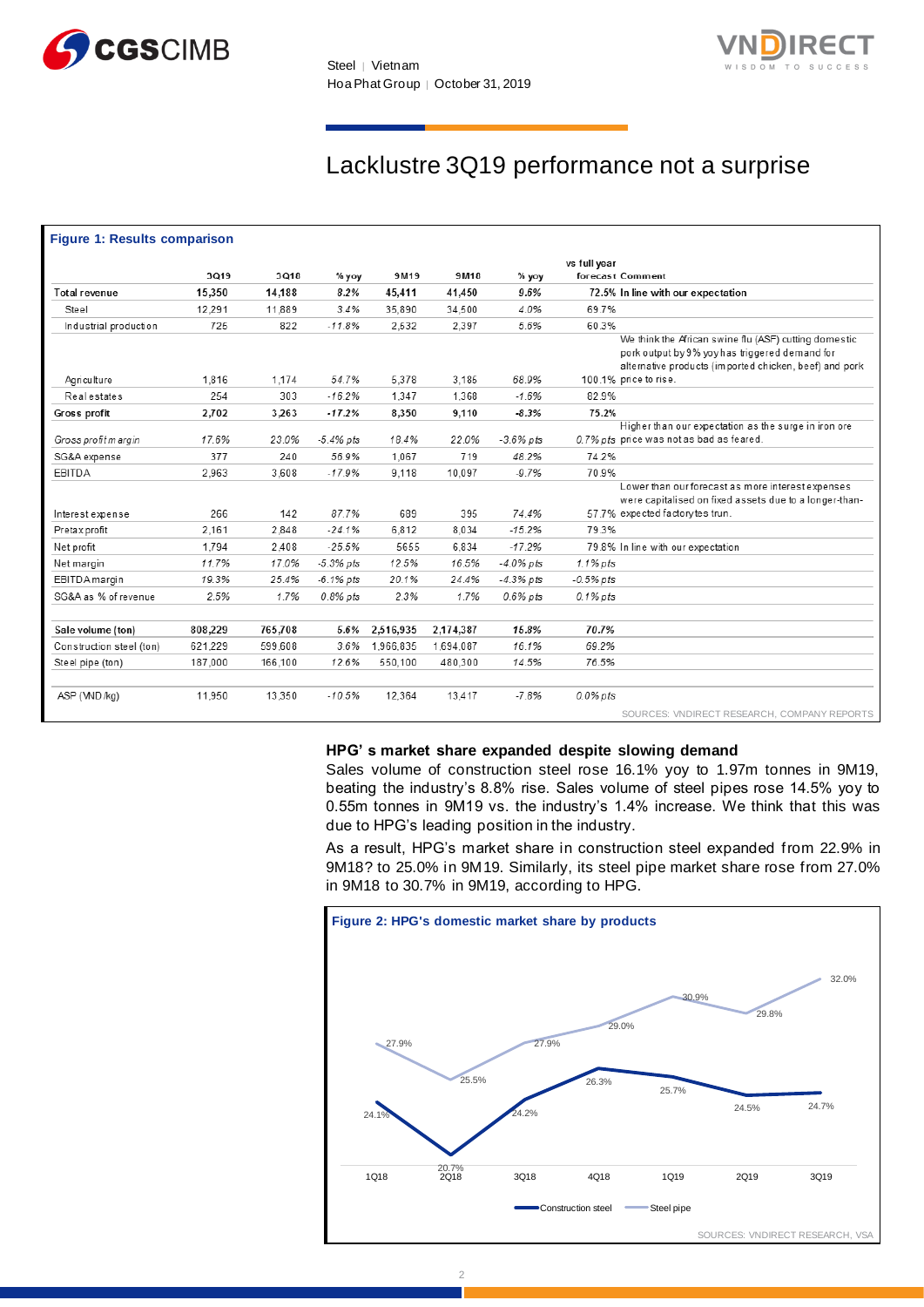



## Lacklustre 3Q19 performance not a surprise

| <b>Figure 1: Results comparison</b> |         |         |              |           |           |              |                  |                                                                                                                                                                   |
|-------------------------------------|---------|---------|--------------|-----------|-----------|--------------|------------------|-------------------------------------------------------------------------------------------------------------------------------------------------------------------|
|                                     |         |         |              |           |           |              | vs full year     |                                                                                                                                                                   |
|                                     | 3Q19    | 3Q18    | $%$ yoy      | 9M19      | 9M18      | $%$ yoy      | forecast Comment |                                                                                                                                                                   |
| <b>Total revenue</b>                | 15,350  | 14.188  | 8.2%         | 45.411    | 41.450    | 9.6%         |                  | 72.5% In line with our expectation                                                                                                                                |
| Steel                               | 12.291  | 11.889  | 3.4%         | 35.890    | 34.500    | 4.0%         | 69.7%            |                                                                                                                                                                   |
| Industrial production               | 725     | 822     | $-11.8%$     | 2.532     | 2.397     | 5.6%         | 60.3%            |                                                                                                                                                                   |
|                                     |         |         |              |           |           |              |                  | We think the African swine flu (ASF) cutting domestic<br>pork output by 9% yoy has triggered demand for<br>alternative products (imported chicken, beef) and pork |
| Agriculture                         | 1.816   | 1,174   | 54.7%        | 5.378     | 3.185     | 68.9%        |                  | 100.1% price to rise.                                                                                                                                             |
| <b>Real estates</b>                 | 254     | 303     | $-16.2%$     | 1.347     | 1.368     | $-1.6%$      | 82.9%            |                                                                                                                                                                   |
| Gross profit                        | 2,702   | 3,263   | $-17.2%$     | 8,350     | 9.110     | $-8.3%$      | 75.2%            |                                                                                                                                                                   |
| Gross profitm argin                 | 17.6%   | 23.0%   | $-5.4\%$ pts | 18.4%     | 22.0%     | $-3.6\%$ pts |                  | Higher than our expectation as the surge in iron ore<br>0.7% pts price was not as bad as feared.                                                                  |
| SG&A expense                        | 377     | 240     | 56.9%        | 1.067     | 719       | 48.2%        | 74.2%            |                                                                                                                                                                   |
| <b>EBITDA</b>                       | 2.963   | 3.608   | $-17.9%$     | 9.118     | 10.097    | $-9.7%$      | 70.9%            |                                                                                                                                                                   |
|                                     |         |         |              |           |           |              |                  | Lower than our forecast as more interest expenses<br>were capitalised on fixed assets due to a longer-than-                                                       |
| Interest expense                    | 266     | 142     | 87.7%        | 689       | 395       | 74.4%        |                  | 57.7% expected factory tes trun.                                                                                                                                  |
| Pretax profit                       | 2.161   | 2.848   | $-24.1%$     | 6.812     | 8.034     | $-15.2%$     | 79.3%            |                                                                                                                                                                   |
| Net profit                          | 1.794   | 2.408   | $-25.5%$     | 5655      | 6.834     | $-17.2%$     |                  | 79.8% In line with our expectation                                                                                                                                |
| Net margin                          | 11.7%   | 17.0%   | $-5.3%$ pts  | 12.5%     | 16.5%     | $-4.0\%$ pts | 1.1% pts         |                                                                                                                                                                   |
| <b>EBITDA</b> margin                | 19.3%   | 25.4%   | $-6.1\%$ pts | 20.1%     | 24.4%     | $-4.3\%$ pts | $-0.5\%$ pts     |                                                                                                                                                                   |
| SG&A as % of revenue                | 2.5%    | 1.7%    | $0.8\%$ pts  | 2.3%      | 1.7%      | $0.6\%$ pts  | $0.1\%$ pts      |                                                                                                                                                                   |
|                                     |         |         |              |           |           |              |                  |                                                                                                                                                                   |
| Sale volume (ton)                   | 808,229 | 765,708 | 5.6%         | 2,516,935 | 2,174,387 | 15.8%        | 70.7%            |                                                                                                                                                                   |
| Construction steel (ton)            | 621.229 | 599.608 | 3.6%         | 1.966.835 | 1,694,087 | 16.1%        | 69.2%            |                                                                                                                                                                   |
| Steel pipe (ton)                    | 187,000 | 166.100 | 12.6%        | 550.100   | 480.300   | 14.5%        | 76.5%            |                                                                                                                                                                   |
| ASP (WD/kg)                         | 11,950  | 13,350  | $-10.5%$     | 12,364    | 13,417    | $-7.8%$      | $0.0\%$ pts      |                                                                                                                                                                   |
|                                     |         |         |              |           |           |              |                  | SOURCES: VNDIRECT RESEARCH, COMPANY REPORTS                                                                                                                       |

#### **HPG' s market share expanded despite slowing demand**

Sales volume of construction steel rose 16.1% yoy to 1.97m tonnes in 9M19, beating the industry's 8.8% rise. Sales volume of steel pipes rose 14.5% yoy to 0.55m tonnes in 9M19 vs. the industry's 1.4% increase. We think that this was due to HPG's leading position in the industry.

As a result, HPG's market share in construction steel expanded from 22.9% in 9M18? to 25.0% in 9M19. Similarly, its steel pipe market share rose from 27.0% in 9M18 to 30.7% in 9M19, according to HPG.

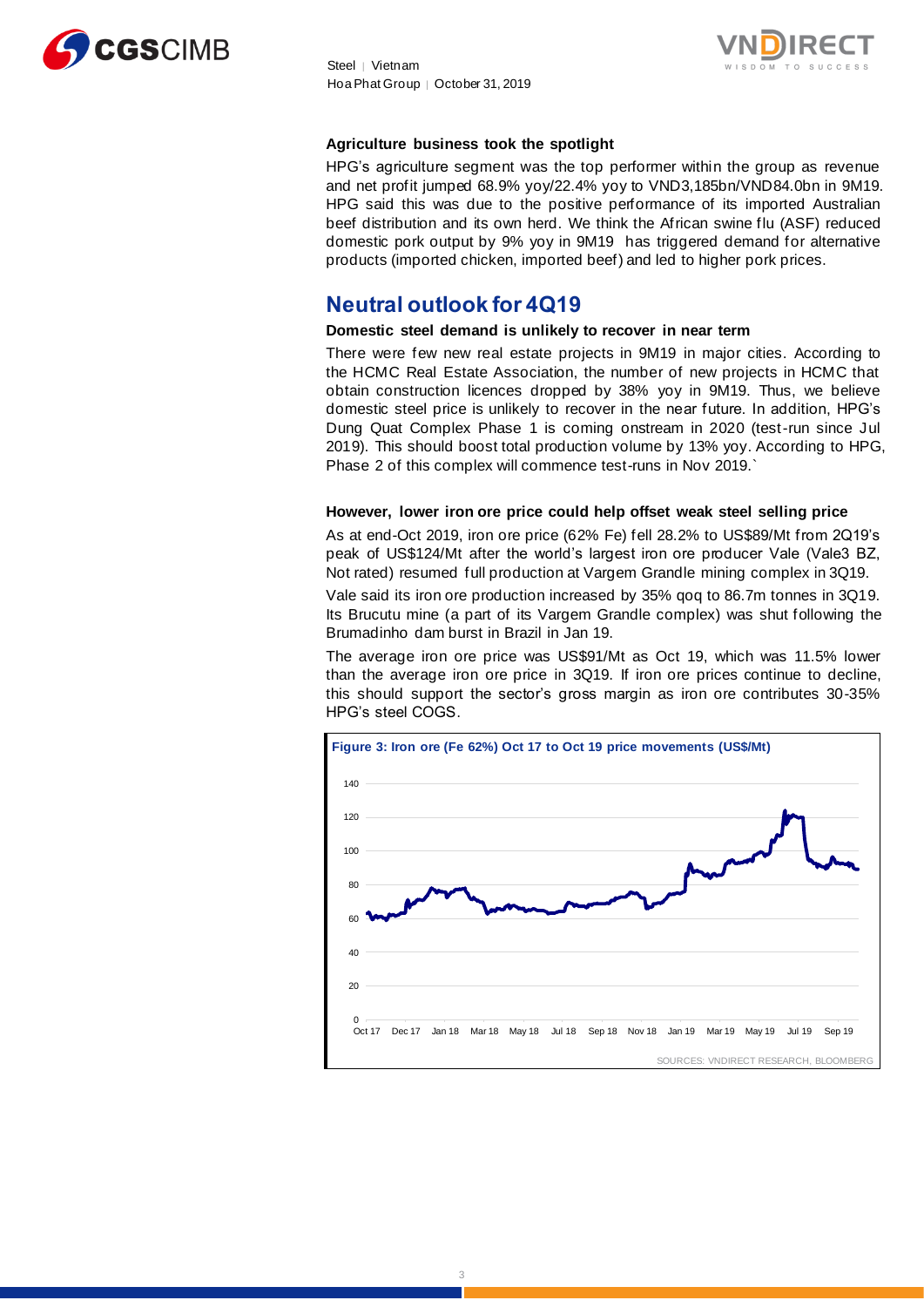



#### **Agriculture business took the spotlight**

HPG's agriculture segment was the top performer within the group as revenue and net profit jumped 68.9% yoy/22.4% yoy to VND3,185bn/VND84.0bn in 9M19. HPG said this was due to the positive performance of its imported Australian beef distribution and its own herd. We think the African swine flu (ASF) reduced domestic pork output by 9% yoy in 9M19 has triggered demand for alternative products (imported chicken, imported beef) and led to higher pork prices.

## **Neutral outlook for 4Q19**

#### **Domestic steel demand is unlikely to recover in near term**

There were few new real estate projects in 9M19 in major cities. According to the HCMC Real Estate Association, the number of new projects in HCMC that obtain construction licences dropped by 38% yoy in 9M19. Thus, we believe domestic steel price is unlikely to recover in the near future. In addition, HPG's Dung Quat Complex Phase 1 is coming onstream in 2020 (test-run since Jul 2019). This should boost total production volume by 13% yoy. According to HPG, Phase 2 of this complex will commence test-runs in Nov 2019.`

#### **However, lower iron ore price could help offset weak steel selling price**

As at end-Oct 2019, iron ore price (62% Fe) fell 28.2% to US\$89/Mt from 2Q19's peak of US\$124/Mt after the world's largest iron ore producer Vale (Vale3 BZ, Not rated) resumed full production at Vargem Grandle mining complex in 3Q19.

Vale said its iron ore production increased by 35% qoq to 86.7m tonnes in 3Q19. Its Brucutu mine (a part of its Vargem Grandle complex) was shut following the Brumadinho dam burst in Brazil in Jan 19.

The average iron ore price was US\$91/Mt as Oct 19, which was 11.5% lower than the average iron ore price in 3Q19. If iron ore prices continue to decline, this should support the sector's gross margin as iron ore contributes 30-35% HPG's steel COGS.

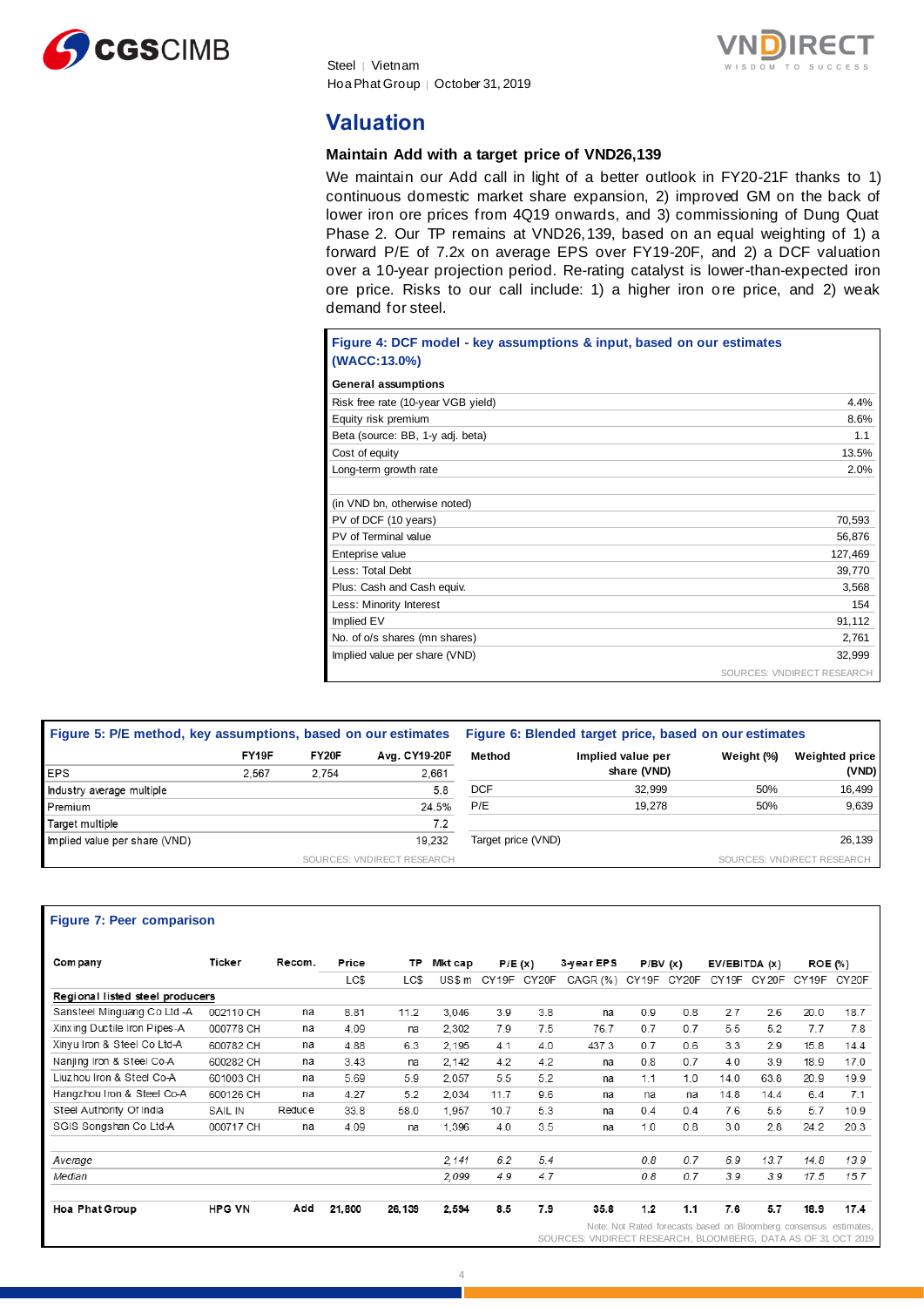



## **Valuation**

#### **Maintain Add with a target price of VND26,139**

We maintain our Add call in light of a better outlook in FY20-21F thanks to 1) continuous domestic market share expansion, 2) improved GM on the back of lower iron ore prices from 4Q19 onwards, and 3) commissioning of Dung Quat Phase 2. Our TP remains at VND26,139, based on an equal weighting of 1) a forward P/E of 7.2x on average EPS over FY19-20F, and 2) a DCF valuation over a 10-year projection period. Re-rating catalyst is lower-than-expected iron ore price. Risks to our call include: 1) a higher iron ore price, and 2) weak demand for steel.

| Figure 4: DCF model - key assumptions & input, based on our estimates |                            |
|-----------------------------------------------------------------------|----------------------------|
| (WACC:13.0%)                                                          |                            |
| <b>General assumptions</b>                                            |                            |
| Risk free rate (10-year VGB yield)                                    | 4.4%                       |
| Equity risk premium                                                   | 8.6%                       |
| Beta (source: BB, 1-y adj. beta)                                      | 1.1                        |
| Cost of equity                                                        | 13.5%                      |
| Long-term growth rate                                                 | 2.0%                       |
|                                                                       |                            |
| (in VND bn, otherwise noted)                                          |                            |
| PV of DCF (10 years)                                                  | 70,593                     |
| PV of Terminal value                                                  | 56,876                     |
| Enteprise value                                                       | 127,469                    |
| Less: Total Debt                                                      | 39,770                     |
| Plus: Cash and Cash equiv.                                            | 3,568                      |
| Less: Minority Interest                                               | 154                        |
| Implied EV                                                            | 91,112                     |
| No. of o/s shares (mn shares)                                         | 2.761                      |
| Implied value per share (VND)                                         | 32.999                     |
|                                                                       | SOURCES: VNDIRECT RESEARCH |

| Figure 5: P/E method, key assumptions, based on our estimates |       |       |                            | Figure 6: Blended target price, based on our estimates |                   |            |                            |
|---------------------------------------------------------------|-------|-------|----------------------------|--------------------------------------------------------|-------------------|------------|----------------------------|
|                                                               | FY19F | FY20F | Avg. CY19-20F              | Method                                                 | Implied value per | Weight (%) | <b>Weighted price</b>      |
| <b>EPS</b>                                                    | 2.567 | 2.754 | 2,661                      |                                                        | share (VND)       |            | (VND)                      |
| Industry average multiple                                     |       |       | 5.8                        | <b>DCF</b>                                             | 32.999            | 50%        | 16.499                     |
| Premium                                                       |       |       | 24.5%                      | P/E                                                    | 19.278            | 50%        | 9,639                      |
| Target multiple                                               |       |       | 7.2                        |                                                        |                   |            |                            |
| Implied value per share (VND)                                 |       |       | 19.232                     | Target price (VND)                                     |                   |            | 26,139                     |
|                                                               |       |       | SOURCES: VNDIRECT RESEARCH |                                                        |                   |            | SOURCES: VNDIRECT RESEARCH |

#### **Figure 7: Peer comparison**

| Com pany                        | Ticker        | Recom. | Price  | ΤP     | Mkt cap | P/E(x) |             | 3-year EPS                                                    | P/BV(x) |       | EV/EBITDA (x)                                                     |        | <b>ROE</b> (%) |       |
|---------------------------------|---------------|--------|--------|--------|---------|--------|-------------|---------------------------------------------------------------|---------|-------|-------------------------------------------------------------------|--------|----------------|-------|
|                                 |               |        | LC\$   | LC\$   | US\$ m  |        | CY19F CY20F | CAGR (%)                                                      | CY19F   | CY20F | CY19F                                                             | CY 20F | CY19F          | CY20F |
| Regional listed steel producers |               |        |        |        |         |        |             |                                                               |         |       |                                                                   |        |                |       |
| Sansteel Minguang Co Ltd -A     | 002110 CH     | na     | 8.81   | 11.2   | 3.046   | 3.9    | 3.8         | na                                                            | 0.9     | 0.8   | 2.7                                                               | 2.6    | 20.0           | 18.7  |
| Xinxing Ductile Iron Pipes-A    | 000778 CH     | na     | 4.09   | na     | 2.302   | 7.9    | 7.5         | 76.7                                                          | 0.7     | 0.7   | 5.5                                                               | 5.2    | 7.7            | 7.8   |
| Xinyu Iron & Steel Co Ltd-A     | 600782 CH     | na     | 4.88   | 6.3    | 2.195   | 4.1    | 4.0         | 437.3                                                         | 0.7     | 0.6   | 3.3                                                               | 2.9    | 15.8           | 14.4  |
| Nanjing Iron & Steel Co-A       | 600282 CH     | na     | 3.43   | na     | 2.142   | 4.2    | 4.2         | na                                                            | 0.8     | 0.7   | 4.0                                                               | 3.9    | 18.9           | 17.0  |
| Liuzhou Iron & Steel Co-A       | 601003 CH     | na     | 5.69   | 5.9    | 2.057   | 5.5    | 5.2         | na                                                            | 1.1     | 1.0   | 14.0                                                              | 63.8   | 20.9           | 19.9  |
| Hangzhou Iron & Steel Co-A      | 600126 CH     | na     | 4.27   | 5.2    | 2.034   | 11.7   | 9.6         | na                                                            | na      | na    | 14.8                                                              | 14.4   | 6.4            | 7.1   |
| Steel Authority Of India        | SAIL IN       | Reduce | 33.8   | 58.0   | 1.957   | 10.7   | 5.3         | na                                                            | 0.4     | 0.4   | 7.6                                                               | 5.5    | 5.7            | 10.9  |
| SGIS Songshan Co Ltd-A          | 000717 CH     | na     | 4.09   | na     | 1,396   | 4.0    | 3.5         | na                                                            | 1.0     | 0.8   | 3.0                                                               | 2.8    | 24.2           | 20.3  |
| Average                         |               |        |        |        | 2.141   | 6.2    | 5.4         |                                                               | 0.8     | 0.7   | 6.9                                                               | 13.7   | 14.8           | 13.9  |
| Median                          |               |        |        |        | 2,099   | 4.9    | 4.7         |                                                               | 0.8     | 0.7   | 3.9                                                               | 3.9    | 17.5           | 15.7  |
| Hoa Phat Group                  | <b>HPG VN</b> | Add    | 21,800 | 26.139 | 2,594   | 8.5    | 7.9         | 35.8                                                          | 1.2     | 1.1   | 7.6                                                               | 5.7    | 18.9           | 17.4  |
|                                 |               |        |        |        |         |        |             | SOURCES: VNDIRECT RESEARCH, BLOOMBERG, DATA AS OF 31 OCT 2019 |         |       | Note: Not Rated forecasts based on Bloomberg consensus estimates, |        |                |       |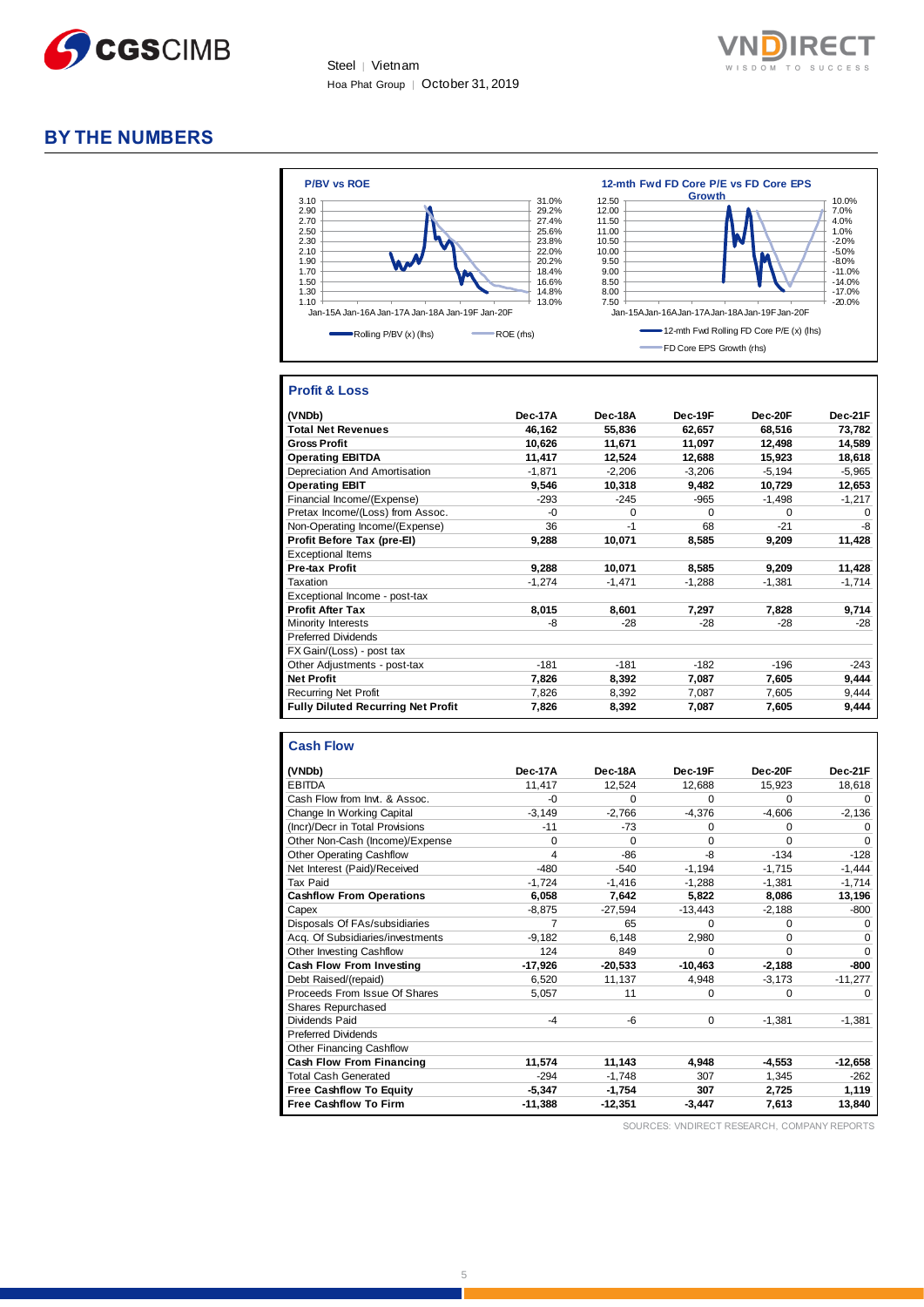



## **BY THE NUMBERS**



#### **Profit & Loss**

| (VNDb)                                    | Dec-17A  | Dec-18A  | Dec-19F  | Dec-20F  | Dec-21F  |
|-------------------------------------------|----------|----------|----------|----------|----------|
| <b>Total Net Revenues</b>                 | 46,162   | 55,836   | 62,657   | 68,516   | 73,782   |
| <b>Gross Profit</b>                       | 10,626   | 11.671   | 11,097   | 12.498   | 14,589   |
| <b>Operating EBITDA</b>                   | 11,417   | 12,524   | 12.688   | 15.923   | 18,618   |
| Depreciation And Amortisation             | $-1,871$ | $-2,206$ | $-3,206$ | $-5,194$ | $-5,965$ |
| <b>Operating EBIT</b>                     | 9,546    | 10,318   | 9,482    | 10,729   | 12,653   |
| Financial Income/(Expense)                | $-293$   | $-245$   | $-965$   | $-1,498$ | $-1,217$ |
| Pretax Income/(Loss) from Assoc.          | $-0$     | $\Omega$ | $\Omega$ | $\Omega$ | $\Omega$ |
| Non-Operating Income/(Expense)            | 36       | -1       | 68       | $-21$    | -8       |
| Profit Before Tax (pre-El)                | 9,288    | 10,071   | 8,585    | 9,209    | 11,428   |
| <b>Exceptional Items</b>                  |          |          |          |          |          |
| <b>Pre-tax Profit</b>                     | 9,288    | 10,071   | 8,585    | 9,209    | 11,428   |
| Taxation                                  | $-1,274$ | $-1,471$ | $-1,288$ | $-1,381$ | $-1,714$ |
| Exceptional Income - post-tax             |          |          |          |          |          |
| <b>Profit After Tax</b>                   | 8,015    | 8,601    | 7,297    | 7,828    | 9,714    |
| Minority Interests                        | -8       | $-28$    | $-28$    | $-28$    | $-28$    |
| <b>Preferred Dividends</b>                |          |          |          |          |          |
| FX Gain/(Loss) - post tax                 |          |          |          |          |          |
| Other Adjustments - post-tax              | $-181$   | $-181$   | $-182$   | $-196$   | $-243$   |
| <b>Net Profit</b>                         | 7,826    | 8,392    | 7,087    | 7,605    | 9,444    |
| <b>Recurring Net Profit</b>               | 7,826    | 8,392    | 7,087    | 7,605    | 9,444    |
| <b>Fully Diluted Recurring Net Profit</b> | 7,826    | 8,392    | 7,087    | 7,605    | 9,444    |

#### **Cash Flow**

| (VNDb)                           | Dec-17A   | Dec-18A   | Dec-19F     | Dec-20F  | Dec-21F   |
|----------------------------------|-----------|-----------|-------------|----------|-----------|
| <b>EBITDA</b>                    | 11,417    | 12,524    | 12,688      | 15,923   | 18,618    |
| Cash Flow from Invt. & Assoc.    | $-0$      | 0         | $\Omega$    | 0        | $\Omega$  |
| Change In Working Capital        | $-3.149$  | $-2.766$  | $-4,376$    | $-4.606$ | $-2,136$  |
| (Incr)/Decr in Total Provisions  | $-11$     | $-73$     | 0           | 0        | $\Omega$  |
| Other Non-Cash (Income)/Expense  | $\Omega$  | 0         | 0           | 0        | $\Omega$  |
| <b>Other Operating Cashflow</b>  | 4         | -86       | -8          | $-134$   | $-128$    |
| Net Interest (Paid)/Received     | $-480$    | $-540$    | $-1,194$    | $-1.715$ | $-1,444$  |
| Tax Paid                         | $-1,724$  | $-1.416$  | $-1.288$    | $-1.381$ | $-1,714$  |
| <b>Cashflow From Operations</b>  | 6,058     | 7,642     | 5.822       | 8.086    | 13,196    |
| Capex                            | $-8,875$  | $-27,594$ | $-13,443$   | $-2,188$ | -800      |
| Disposals Of FAs/subsidiaries    | 7         | 65        | $\Omega$    | 0        | $\Omega$  |
| Acq. Of Subsidiaries/investments | $-9,182$  | 6,148     | 2,980       | 0        | $\Omega$  |
| Other Investing Cashflow         | 124       | 849       | $\Omega$    | 0        | $\Omega$  |
| <b>Cash Flow From Investing</b>  | $-17,926$ | $-20,533$ | $-10,463$   | $-2,188$ | -800      |
| Debt Raised/(repaid)             | 6,520     | 11,137    | 4,948       | $-3,173$ | $-11,277$ |
| Proceeds From Issue Of Shares    | 5,057     | 11        | $\mathbf 0$ | 0        | $\Omega$  |
| Shares Repurchased               |           |           |             |          |           |
| Dividends Paid                   | $-4$      | -6        | $\mathbf 0$ | $-1,381$ | $-1,381$  |
| <b>Preferred Dividends</b>       |           |           |             |          |           |
| <b>Other Financing Cashflow</b>  |           |           |             |          |           |
| <b>Cash Flow From Financing</b>  | 11,574    | 11.143    | 4.948       | $-4.553$ | $-12,658$ |
| <b>Total Cash Generated</b>      | $-294$    | $-1.748$  | 307         | 1.345    | $-262$    |
| <b>Free Cashflow To Equity</b>   | $-5,347$  | $-1,754$  | 307         | 2.725    | 1,119     |
| <b>Free Cashflow To Firm</b>     | $-11,388$ | $-12,351$ | $-3,447$    | 7,613    | 13,840    |

SOURCES: VNDIRECT RESEARCH, COMPANY REPORTS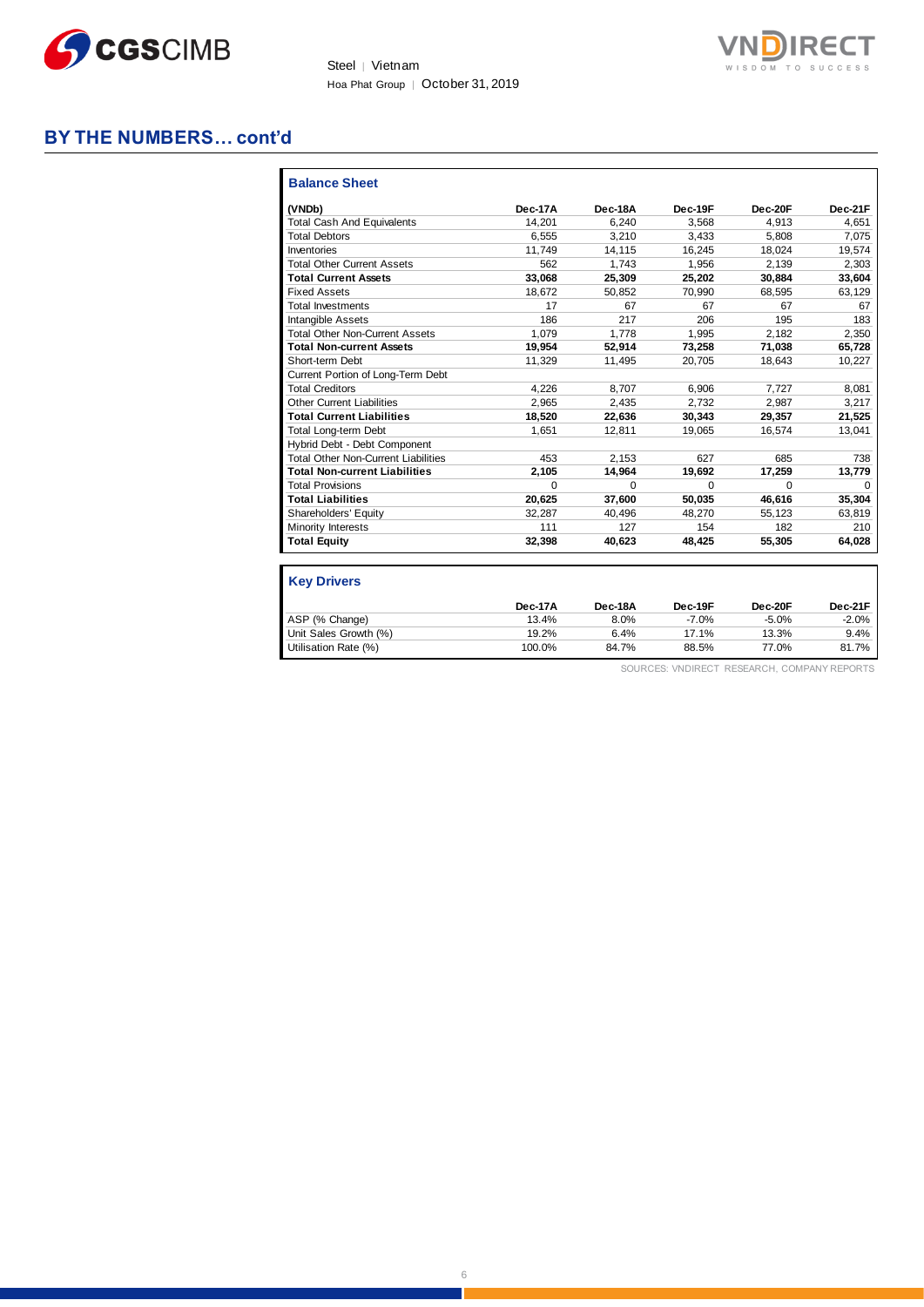



## **BY THE NUMBERS… cont'd**

| (VNDb)                                     | Dec-17A  | Dec-18A  | Dec-19F  | Dec-20F  | Dec-21F  |
|--------------------------------------------|----------|----------|----------|----------|----------|
| <b>Total Cash And Equivalents</b>          | 14.201   | 6.240    | 3.568    | 4.913    | 4.651    |
| <b>Total Debtors</b>                       | 6.555    | 3.210    | 3.433    | 5.808    | 7.075    |
| Inventories                                | 11,749   | 14,115   | 16,245   | 18.024   | 19,574   |
| <b>Total Other Current Assets</b>          | 562      | 1.743    | 1.956    | 2.139    | 2,303    |
| <b>Total Current Assets</b>                | 33.068   | 25,309   | 25,202   | 30.884   | 33,604   |
| <b>Fixed Assets</b>                        | 18.672   | 50,852   | 70,990   | 68,595   | 63,129   |
| <b>Total Investments</b>                   | 17       | 67       | 67       | 67       | 67       |
| <b>Intangible Assets</b>                   | 186      | 217      | 206      | 195      | 183      |
| <b>Total Other Non-Current Assets</b>      | 1.079    | 1.778    | 1.995    | 2.182    | 2,350    |
| <b>Total Non-current Assets</b>            | 19,954   | 52,914   | 73,258   | 71,038   | 65,728   |
| Short-term Debt                            | 11,329   | 11,495   | 20.705   | 18.643   | 10,227   |
| Current Portion of Long-Term Debt          |          |          |          |          |          |
| <b>Total Creditors</b>                     | 4.226    | 8.707    | 6,906    | 7.727    | 8,081    |
| <b>Other Current Liabilities</b>           | 2,965    | 2,435    | 2.732    | 2.987    | 3,217    |
| <b>Total Current Liabilities</b>           | 18,520   | 22,636   | 30,343   | 29,357   | 21,525   |
| Total Long-term Debt                       | 1.651    | 12.811   | 19.065   | 16.574   | 13,041   |
| Hybrid Debt - Debt Component               |          |          |          |          |          |
| <b>Total Other Non-Current Liabilities</b> | 453      | 2.153    | 627      | 685      | 738      |
| <b>Total Non-current Liabilities</b>       | 2,105    | 14,964   | 19,692   | 17,259   | 13,779   |
| <b>Total Provisions</b>                    | $\Omega$ | $\Omega$ | $\Omega$ | $\Omega$ | $\Omega$ |
| <b>Total Liabilities</b>                   | 20.625   | 37.600   | 50.035   | 46.616   | 35,304   |
| Shareholders' Equity                       | 32.287   | 40.496   | 48.270   | 55.123   | 63,819   |
| Minority Interests                         | 111      | 127      | 154      | 182      | 210      |
| <b>Total Equity</b>                        | 32,398   | 40,623   | 48,425   | 55,305   | 64,028   |

|                       | Dec-17A | Dec-18A | Dec-19F | Dec-20F | Dec-21F |
|-----------------------|---------|---------|---------|---------|---------|
| ASP (% Change)        | 13.4%   | 8.0%    | $-7.0%$ | $-5.0%$ | $-2.0%$ |
| Unit Sales Growth (%) | 19.2%   | 6.4%    | 17.1%   | 13.3%   | 9.4%    |
| Utilisation Rate (%)  | 100.0%  | 84.7%   | 88.5%   | 77.0%   | 81.7%   |

SOURCES: VNDIRECT RESEARCH, COMPANY REPORTS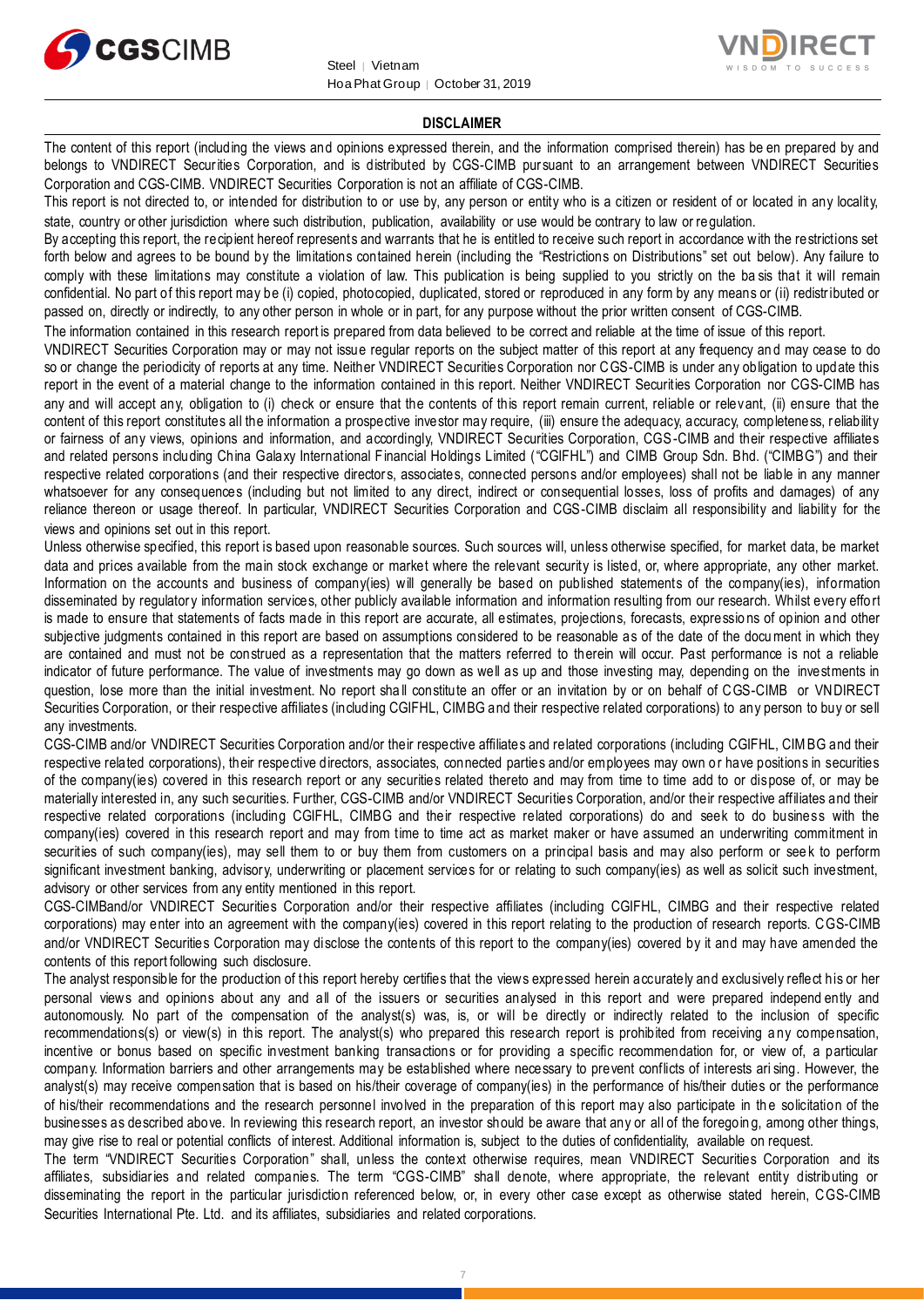



#### **DISCLAIMER**

The content of this report (including the views and opinions expressed therein, and the information comprised therein) has be en prepared by and belongs to VNDIRECT Securities Corporation, and is distributed by CGS-CIMB pursuant to an arrangement between VNDIRECT Securities Corporation and CGS-CIMB. VNDIRECT Securities Corporation is not an affiliate of CGS-CIMB.

This report is not directed to, or intended for distribution to or use by, any person or entity who is a citizen or resident of or located in any locality, state, country or other jurisdiction where such distribution, publication, availability or use would be contrary to law or regulation.

By accepting this report, the recipient hereof represents and warrants that he is entitled to receive such report in accordance with the restrictions set forth below and agrees to be bound by the limitations contained herein (including the "Restrictions on Distributions" set out below). Any failure to comply with these limitations may constitute a violation of law. This publication is being supplied to you strictly on the ba sis that it will remain confidential. No part of this report may be (i) copied, photocopied, duplicated, stored or reproduced in any form by any means or (ii) redistributed or passed on, directly or indirectly, to any other person in whole or in part, for any purpose without the prior written consent of CGS-CIMB.

The information contained in this research report is prepared from data believed to be correct and reliable at the time of issue of this report.

VNDIRECT Securities Corporation may or may not issue regular reports on the subject matter of this report at any frequency an d may cease to do so or change the periodicity of reports at any time. Neither VNDIRECT Securities Corporation nor CGS-CIMB is under any obligation to update this report in the event of a material change to the information contained in this report. Neither VNDIRECT Securities Corporation nor CGS-CIMB has any and will accept any, obligation to (i) check or ensure that the contents of this report remain current, reliable or relevant, (ii) ensure that the content of this report constitutes all the information a prospective investor may require, (iii) ensure the adequacy, accuracy, completeness, reliability or fairness of any views, opinions and information, and accordingly, VNDIRECT Securities Corporation, CGS-CIMB and their respective affiliates and related persons including China Galaxy International Financial Holdings Limited ("CGIFHL") and CIMB Group Sdn. Bhd. ("CIMBG") and their respective related corporations (and their respective directors, associates, connected persons and/or employees) shall not be liable in any manner whatsoever for any consequences (including but not limited to any direct, indirect or consequential losses, loss of profits and damages) of any reliance thereon or usage thereof. In particular, VNDIRECT Securities Corporation and CGS-CIMB disclaim all responsibility and liability for the views and opinions set out in this report.

Unless otherwise specified, this report is based upon reasonable sources. Such sources will, unless otherwise specified, for market data, be market data and prices available from the main stock exchange or market where the relevant security is listed, or, where appropriate, any other market. Information on the accounts and business of company(ies) will generally be based on published statements of the company(ies), information disseminated by regulatory information services, other publicly available information and information resulting from our research. Whilst every effort is made to ensure that statements of facts made in this report are accurate, all estimates, projections, forecasts, expressio ns of opinion and other subjective judgments contained in this report are based on assumptions considered to be reasonable as of the date of the document in which they are contained and must not be construed as a representation that the matters referred to therein will occur. Past performance is not a reliable indicator of future performance. The value of investments may go down as well as up and those investing may, depending on the investments in question, lose more than the initial investment. No report sha ll constitute an offer or an invitation by or on behalf of CGS-CIMB or VNDIRECT Securities Corporation, or their respective affiliates (including CGIFHL, CIMBG and their respective related corporations) to any person to buy or sell any investments.

CGS-CIMB and/or VNDIRECT Securities Corporation and/or their respective affiliates and related corporations (including CGIFHL, CIMBG and their respective related corporations), their respective directors, associates, connected parties and/or employees may own o r have positions in securities of the company(ies) covered in this research report or any securities related thereto and may from time to time add to or dispose of, or may be materially interested in, any such securities. Further, CGS-CIMB and/or VNDIRECT Securities Corporation, and/or their respective affiliates and their respective related corporations (including CGIFHL, CIMBG and their respective related corporations) do and seek to do business with the company(ies) covered in this research report and may from time to time act as market maker or have assumed an underwriting commitment in securities of such company(ies), may sell them to or buy them from customers on a principal basis and may also perform or seek to perform significant investment banking, advisory, underwriting or placement services for or relating to such company(ies) as well as solicit such investment, advisory or other services from any entity mentioned in this report.

CGS-CIMBand/or VNDIRECT Securities Corporation and/or their respective affiliates (including CGIFHL, CIMBG and their respective related corporations) may enter into an agreement with the company(ies) covered in this report relating to the production of research reports. CGS-CIMB and/or VNDIRECT Securities Corporation may disclose the contents of this report to the company(ies) covered by it and may have amended the contents of this report following such disclosure.

The analyst responsible for the production of this report hereby certifies that the views expressed herein accurately and exclusively reflect his or her personal views and opinions about any and all of the issuers or securities analysed in this report and were prepared independ ently and autonomously. No part of the compensation of the analyst(s) was, is, or will be directly or indirectly related to the inclusion of specific recommendations(s) or view(s) in this report. The analyst(s) who prepared this research report is prohibited from receiving a ny compensation, incentive or bonus based on specific investment banking transactions or for providing a specific recommendation for, or view of, a particular company. Information barriers and other arrangements may be established where necessary to prevent conflicts of interests ari sing. However, the analyst(s) may receive compensation that is based on his/their coverage of company(ies) in the performance of his/their duties or the performance of his/their recommendations and the research personnel involved in the preparation of this report may also participate in th e solicitation of the businesses as described above. In reviewing this research report, an investor should be aware that any or all of the foregoin g, among other things, may give rise to real or potential conflicts of interest. Additional information is, subject to the duties of confidentiality, available on request.

The term "VNDIRECT Securities Corporation" shall, unless the context otherwise requires, mean VNDIRECT Securities Corporation and its affiliates, subsidiaries and related companies. The term "CGS-CIMB" shall denote, where appropriate, the relevant entity distributing or disseminating the report in the particular jurisdiction referenced below, or, in every other case except as otherwise stated herein, CGS-CIMB Securities International Pte. Ltd. and its affiliates, subsidiaries and related corporations.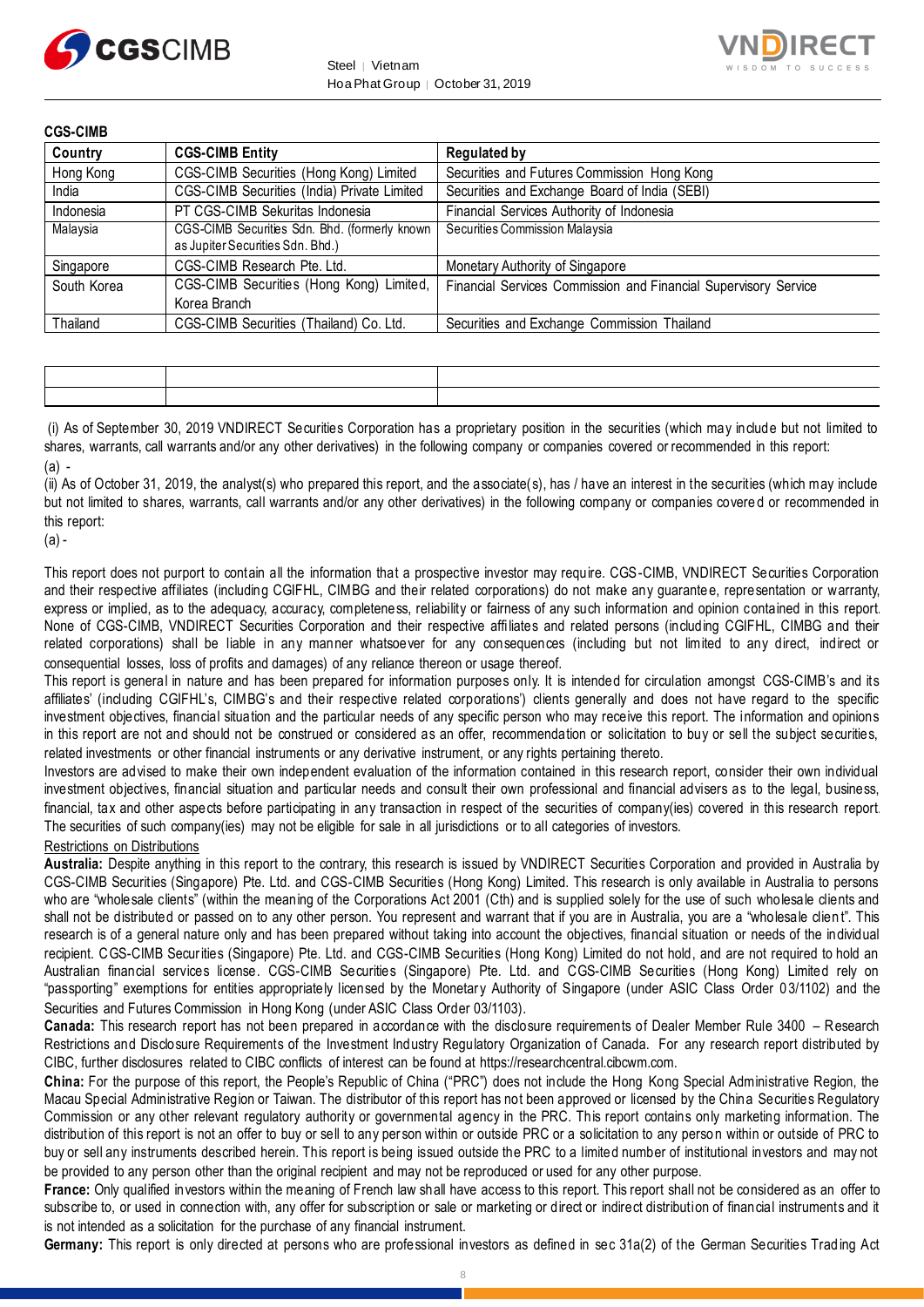



| <b>CGS-CIMB</b> |                                                                                   |                                                                 |
|-----------------|-----------------------------------------------------------------------------------|-----------------------------------------------------------------|
| Country         | <b>CGS-CIMB Entity</b>                                                            | <b>Regulated by</b>                                             |
| Hong Kong       | CGS-CIMB Securities (Hong Kong) Limited                                           | Securities and Futures Commission Hong Kong                     |
| India           | CGS-CIMB Securities (India) Private Limited                                       | Securities and Exchange Board of India (SEBI)                   |
| Indonesia       | PT CGS-CIMB Sekuritas Indonesia                                                   | Financial Services Authority of Indonesia                       |
| Malaysia        | CGS-CIMB Securities Sdn. Bhd. (formerly known<br>as Jupiter Securities Sdn. Bhd.) | Securities Commission Malaysia                                  |
| Singapore       | CGS-CIMB Research Pte. Ltd.                                                       | Monetary Authority of Singapore                                 |
| South Korea     | CGS-CIMB Securities (Hong Kong) Limited,                                          | Financial Services Commission and Financial Supervisory Service |
|                 | Korea Branch                                                                      |                                                                 |
| Thailand        | CGS-CIMB Securities (Thailand) Co. Ltd.                                           | Securities and Exchange Commission Thailand                     |

| the contract of the contract of the contract of the contract of the contract of the contract of the contract of | the contract of the contract of the contract of the contract of the contract of the contract of the contract of |
|-----------------------------------------------------------------------------------------------------------------|-----------------------------------------------------------------------------------------------------------------|
| the contract of the contract of the contract of the contract of the contract of the contract of the contract of |                                                                                                                 |

(i) As of September 30, 2019 VNDIRECT Securities Corporation has a proprietary position in the securities (which may include but not limited to shares, warrants, call warrants and/or any other derivatives) in the following company or companies covered or recommended in this report: (a) -

(ii) As of October 31, 2019, the analyst(s) who prepared this report, and the associate(s), has / have an interest in the securities (which may include but not limited to shares, warrants, call warrants and/or any other derivatives) in the following company or companies covere d or recommended in this report:

 $(a)$  -

This report does not purport to contain all the information that a prospective investor may require. CGS-CIMB, VNDIRECT Securities Corporation and their respective affiliates (including CGIFHL, CIMBG and their related corporations) do not make any guarante e, representation or warranty, express or implied, as to the adequacy, accuracy, completeness, reliability or fairness of any such information and opinion contained in this report. None of CGS-CIMB, VNDIRECT Securities Corporation and their respective affi liates and related persons (including CGIFHL, CIMBG and their related corporations) shall be liable in any manner whatsoever for any consequences (including but not limited to any direct, indirect or consequential losses, loss of profits and damages) of any reliance thereon or usage thereof.

This report is general in nature and has been prepared for information purposes only. It is intended for circulation amongst CGS-CIMB's and its affiliates' (including CGIFHL's, CIMBG's and their respective related corporations') clients generally and does not have regard to the specific investment objectives, financial situation and the particular needs of any specific person who may receive this report. The information and opinions in this report are not and should not be construed or considered as an offer, recommendation or solicitation to buy or sell the subject securities, related investments or other financial instruments or any derivative instrument, or any rights pertaining thereto.

Investors are advised to make their own independent evaluation of the information contained in this research report, consider their own individual investment objectives, financial situation and particular needs and consult their own professional and financial advisers as to the legal, business, financial, tax and other aspects before participating in any transaction in respect of the securities of company(ies) covered in this research report. The securities of such company(ies) may not be eligible for sale in all jurisdictions or to all categories of investors.

#### Restrictions on Distributions

**Australia:** Despite anything in this report to the contrary, this research is issued by VNDIRECT Securities Corporation and provided in Australia by CGS-CIMB Securities (Singapore) Pte. Ltd. and CGS-CIMB Securities (Hong Kong) Limited. This research is only available in Australia to persons who are "wholesale clients" (within the meaning of the Corporations Act 2001 (Cth) and is supplied solely for the use of such wholesale clients and shall not be distributed or passed on to any other person. You represent and warrant that if you are in Australia, you are a "wholesale clien t". This research is of a general nature only and has been prepared without taking into account the objectives, financial situation or needs of the individual recipient. CGS-CIMB Securities (Singapore) Pte. Ltd. and CGS-CIMB Securities (Hong Kong) Limited do not hold, and are not required to hold an Australian financial services license. CGS-CIMB Securities (Singapore) Pte. Ltd. and CGS-CIMB Securities (Hong Kong) Limited rely on "passporting" exemptions for entities appropriately licensed by the Monetary Authority of Singapore (under ASIC Class Order 0 3/1102) and the Securities and Futures Commission in Hong Kong (under ASIC Class Order 03/1103).

**Canada:** This research report has not been prepared in accordance with the disclosure requirements of Dealer Member Rule 3400 – Research Restrictions and Disclosure Requirements of the Investment Industry Regulatory Organization of Canada. For any research report distributed by CIBC, further disclosures related to CIBC conflicts of interest can be found at https://researchcentral.cibcwm.com.

**China:** For the purpose of this report, the People's Republic of China ("PRC") does not include the Hong Kong Special Administrative Region, the Macau Special Administrative Region or Taiwan. The distributor of this report has not been approved or licensed by the China Securities Regulatory Commission or any other relevant regulatory authority or governmental agency in the PRC. This report contains only marketing information. The distribution of this report is not an offer to buy or sell to any person within or outside PRC or a solicitation to any perso n within or outside of PRC to buy or sell any instruments described herein. This report is being issued outside the PRC to a limited number of institutional investors and may not be provided to any person other than the original recipient and may not be reproduced or used for any other purpose.

**France:** Only qualified investors within the meaning of French law shall have access to this report. This report shall not be considered as an offer to subscribe to, or used in connection with, any offer for subscription or sale or marketing or direct or indirect distribution of financial instruments and it is not intended as a solicitation for the purchase of any financial instrument.

**Germany:** This report is only directed at persons who are professional investors as defined in sec 31a(2) of the German Securities Trad ing Act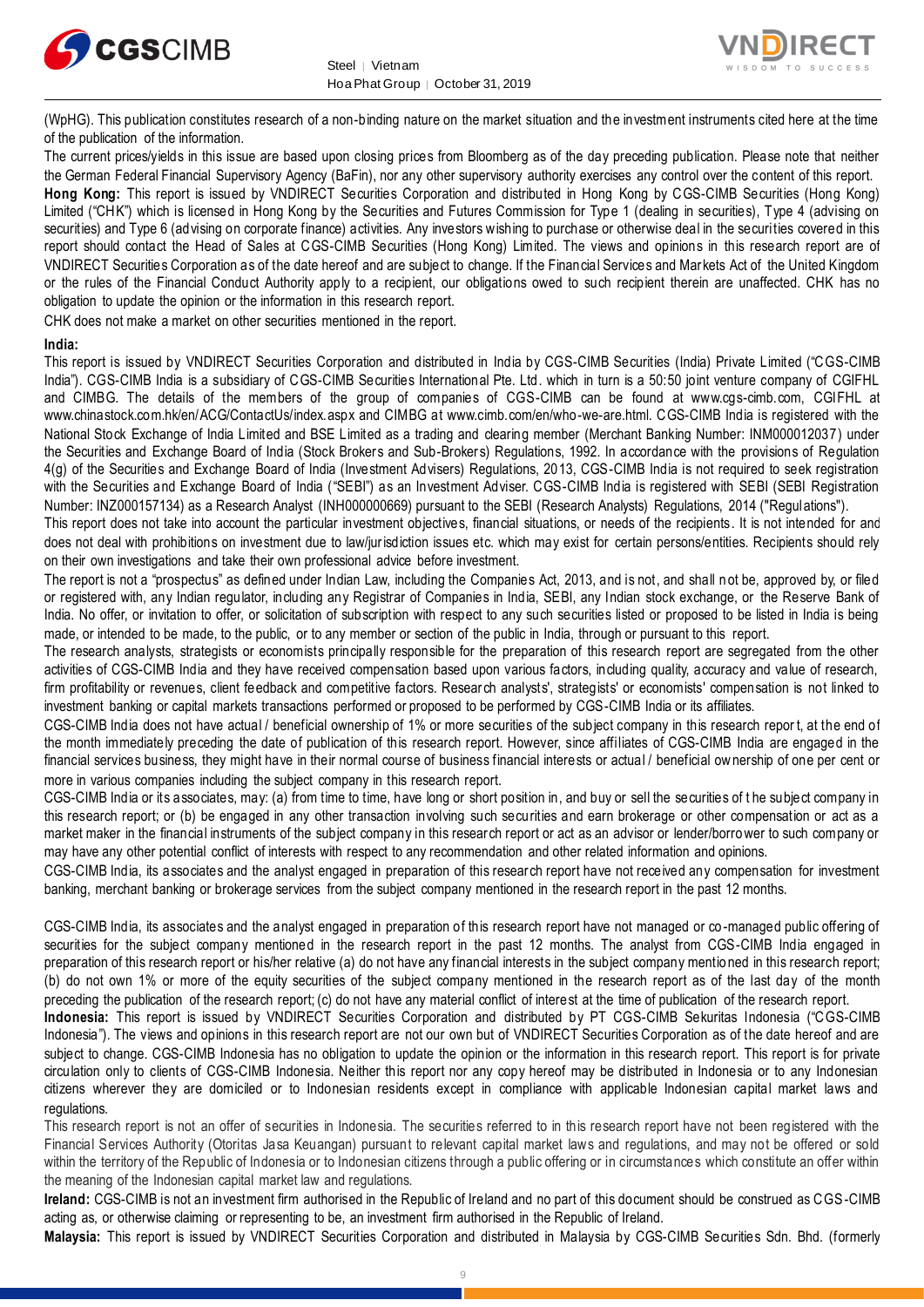



(WpHG). This publication constitutes research of a non-binding nature on the market situation and the investment instruments cited here at the time of the publication of the information.

The current prices/yields in this issue are based upon closing prices from Bloomberg as of the day preceding publication. Please note that neither the German Federal Financial Supervisory Agency (BaFin), nor any other supervisory authority exercises any control over the content of this report. **Hong Kong:** This report is issued by VNDIRECT Securities Corporation and distributed in Hong Kong by CGS-CIMB Securities (Hong Kong) Limited ("CHK") which is licensed in Hong Kong by the Securities and Futures Commission for Type 1 (dealing in securities), Type 4 (advising on securities) and Type 6 (advising on corporate finance) activities. Any investors wishing to purchase or otherwise deal in the securities covered in this report should contact the Head of Sales at CGS-CIMB Securities (Hong Kong) Limited. The views and opinions in this research report are of VNDIRECT Securities Corporation as of the date hereof and are subject to change. If the Financial Services and Markets Act of the United Kingdom or the rules of the Financial Conduct Authority apply to a recipient, our obligations owed to such recipient therein are unaffected. CHK has no obligation to update the opinion or the information in this research report.

CHK does not make a market on other securities mentioned in the report.

#### **India:**

This report is issued by VNDIRECT Securities Corporation and distributed in India by CGS-CIMB Securities (India) Private Limited ("CGS-CIMB India"). CGS-CIMB India is a subsidiary of CGS-CIMB Securities International Pte. Ltd. which in turn is a 50:50 joint venture company of CGIFHL and CIMBG. The details of the members of the group of companies of CGS-CIMB can be found at www.cgs-cimb.com, CGIFHL at www.chinastock.com.hk/en/ACG/ContactUs/index.aspx and CIMBG at www.cimb.com/en/who-we-are.html. CGS-CIMB India is registered with the National Stock Exchange of India Limited and BSE Limited as a trading and clearing member (Merchant Banking Number: INM000012037) under the Securities and Exchange Board of India (Stock Brokers and Sub-Brokers) Regulations, 1992. In accordance with the provisions of Regulation 4(g) of the Securities and Exchange Board of India (Investment Advisers) Regulations, 2013, CGS-CIMB India is not required to seek registration with the Securities and Exchange Board of India ("SEBI") as an Investment Adviser. CGS-CIMB India is registered with SEBI (SEBI Registration Number: INZ000157134) as a Research Analyst (INH000000669) pursuant to the SEBI (Research Analysts) Regulations, 2014 ("Regulations").

This report does not take into account the particular investment objectives, financial situations, or needs of the recipients. It is not intended for and does not deal with prohibitions on investment due to law/jurisdiction issues etc. which may exist for certain persons/entities. Recipients should rely on their own investigations and take their own professional advice before investment.

The report is not a "prospectus" as defined under Indian Law, including the Companies Act, 2013, and is not, and shall n ot be, approved by, or filed or registered with, any Indian regulator, including any Registrar of Companies in India, SEBI, any Indian stock exchange, or the Reserve Bank of India. No offer, or invitation to offer, or solicitation of subscription with respect to any such securities listed or proposed to be listed in India is being made, or intended to be made, to the public, or to any member or section of the public in India, through or pursuant to this report.

The research analysts, strategists or economists principally responsible for the preparation of this research report are segregated from the other activities of CGS-CIMB India and they have received compensation based upon various factors, including quality, accuracy and value of research, firm profitability or revenues, client feedback and competitive factors. Research analysts', strategists' or economists' compensation is not linked to investment banking or capital markets transactions performed or proposed to be performed by CGS-CIMB India or its affiliates.

CGS-CIMB India does not have actual / beneficial ownership of 1% or more securities of the subject company in this research repor t, at the end of the month immediately preceding the date of publication of this research report. However, since affiliates of CGS-CIMB India are engaged in the financial services business, they might have in their normal course of business financial interests or actual / beneficial ownership of one per cent or more in various companies including the subject company in this research report.

CGS-CIMB India or its associates, may: (a) from time to time, have long or short position in, and buy or sell the securities of t he subject company in this research report; or (b) be engaged in any other transaction involving such securities and earn brokerage or other compensation or act as a market maker in the financial instruments of the subject company in this research report or act as an advisor or lender/borrower to such company or may have any other potential conflict of interests with respect to any recommendation and other related information and opinions.

CGS-CIMB India, its associates and the analyst engaged in preparation of this research report have not received any compensation for investment banking, merchant banking or brokerage services from the subject company mentioned in the research report in the past 12 months.

CGS-CIMB India, its associates and the analyst engaged in preparation of this research report have not managed or co -managed public offering of securities for the subject company mentioned in the research report in the past 12 months. The analyst from CGS-CIMB India engaged in preparation of this research report or his/her relative (a) do not have any financial interests in the subject company mentio ned in this research report; (b) do not own 1% or more of the equity securities of the subject company mentioned in the research report as of the last day of the month preceding the publication of the research report; (c) do not have any material conflict of interest at the time of publication of the research report.

**Indonesia:** This report is issued by VNDIRECT Securities Corporation and distributed by PT CGS-CIMB Sekuritas Indonesia ("CGS-CIMB Indonesia"). The views and opinions in this research report are not our own but of VNDIRECT Securities Corporation as of the date hereof and are subject to change. CGS-CIMB Indonesia has no obligation to update the opinion or the information in this research report. This report is for private circulation only to clients of CGS-CIMB Indonesia. Neither this report nor any copy hereof may be distributed in Indonesia or to any Indonesian citizens wherever they are domiciled or to Indonesian residents except in compliance with applicable Indonesian capital market laws and regulations.

This research report is not an offer of securities in Indonesia. The securities referred to in this research report have not been registered with the Financial Services Authority (Otoritas Jasa Keuangan) pursuant to relevant capital market laws and regulations, and may not be offered or sold within the territory of the Republic of Indonesia or to Indonesian citizens through a public offering or in circumstances which constitute an offer within the meaning of the Indonesian capital market law and regulations.

**Ireland:** CGS-CIMB is not an investment firm authorised in the Republic of Ireland and no part of this document should be construed as CGS-CIMB acting as, or otherwise claiming or representing to be, an investment firm authorised in the Republic of Ireland.

**Malaysia:** This report is issued by VNDIRECT Securities Corporation and distributed in Malaysia by CGS-CIMB Securities Sdn. Bhd. (formerly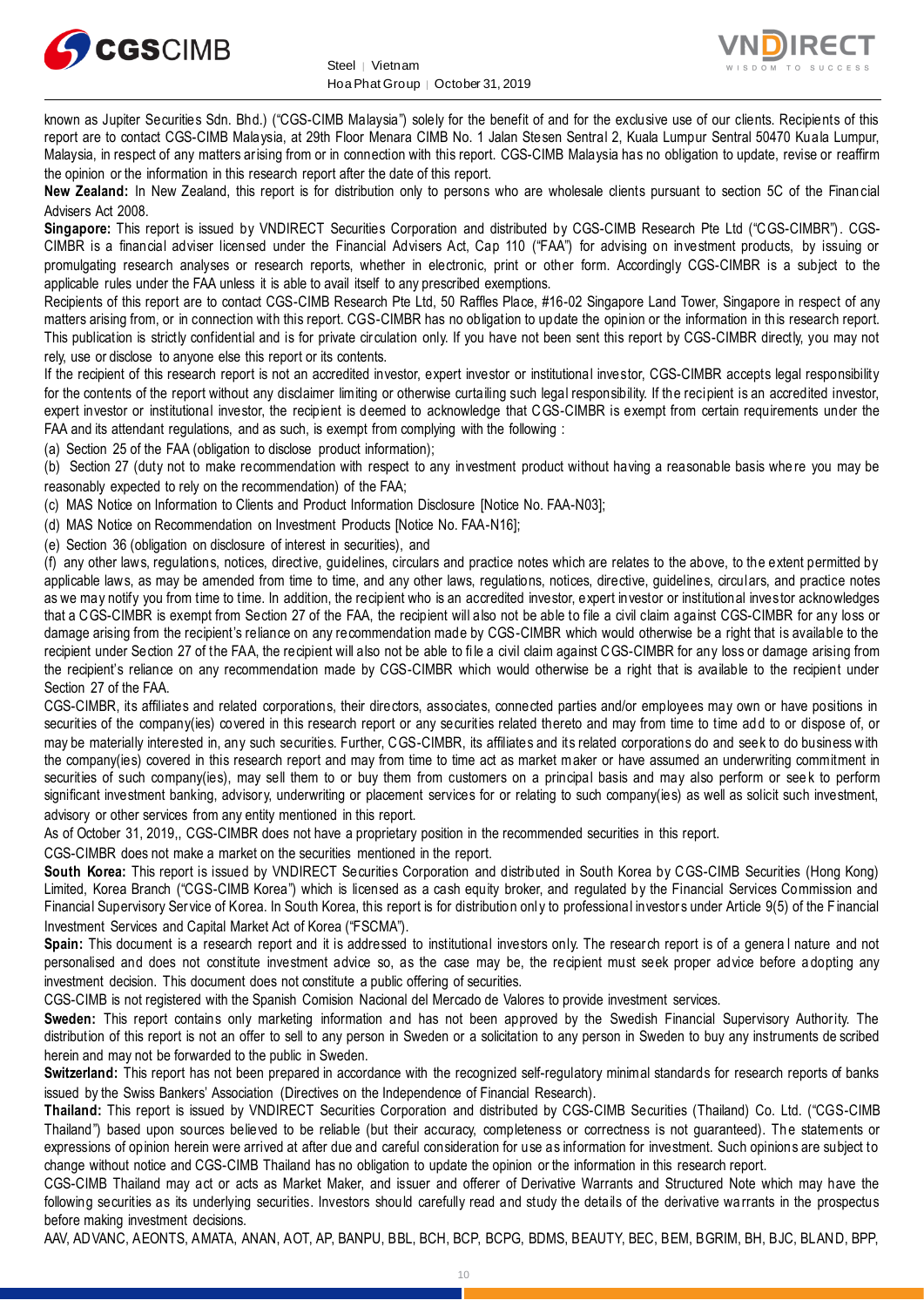



known as Jupiter Securities Sdn. Bhd.) ("CGS-CIMB Malaysia") solely for the benefit of and for the exclusive use of our clients. Recipients of this report are to contact CGS-CIMB Malaysia, at 29th Floor Menara CIMB No. 1 Jalan Stesen Sentral 2, Kuala Lumpur Sentral 50470 Kuala Lumpur, Malaysia, in respect of any matters arising from or in connection with this report. CGS-CIMB Malaysia has no obligation to update, revise or reaffirm the opinion or the information in this research report after the date of this report.

**New Zealand:** In New Zealand, this report is for distribution only to persons who are wholesale clients pursuant to section 5C of the Finan cial Advisers Act 2008.

**Singapore:** This report is issued by VNDIRECT Securities Corporation and distributed by CGS-CIMB Research Pte Ltd ("CGS-CIMBR"). CGS-CIMBR is a financial adviser licensed under the Financial Advisers Act, Cap 110 ("FAA") for advising on investment products, by issuing or promulgating research analyses or research reports, whether in electronic, print or other form. Accordingly CGS-CIMBR is a subject to the applicable rules under the FAA unless it is able to avail itself to any prescribed exemptions.

Recipients of this report are to contact CGS-CIMB Research Pte Ltd, 50 Raffles Place, #16-02 Singapore Land Tower, Singapore in respect of any matters arising from, or in connection with this report. CGS-CIMBR has no obligation to update the opinion or the information in this research report. This publication is strictly confidential and is for private circulation only. If you have not been sent this report by CGS-CIMBR directly, you may not rely, use or disclose to anyone else this report or its contents.

If the recipient of this research report is not an accredited investor, expert investor or institutional investor, CGS-CIMBR accepts legal responsibility for the contents of the report without any disclaimer limiting or otherwise curtailing such legal responsibility. If the recipient is an accredited investor, expert investor or institutional investor, the recipient is deemed to acknowledge that CGS-CIMBR is exempt from certain requirements under the FAA and its attendant regulations, and as such, is exempt from complying with the following :

(a) Section 25 of the FAA (obligation to disclose product information);

(b) Section 27 (duty not to make recommendation with respect to any investment product without having a reasonable basis whe re you may be reasonably expected to rely on the recommendation) of the FAA;

(c) MAS Notice on Information to Clients and Product Information Disclosure [Notice No. FAA-N03];

(d) MAS Notice on Recommendation on Investment Products [Notice No. FAA-N16];

(e) Section 36 (obligation on disclosure of interest in securities), and

(f) any other laws, regulations, notices, directive, guidelines, circulars and practice notes which are relates to the above, to the extent permitted by applicable laws, as may be amended from time to time, and any other laws, regulations, notices, directive, guidelines, circulars, and practice notes as we may notify you from time to time. In addition, the recipient who is an accredited investor, expert investor or institutional investor acknowledges that a CGS-CIMBR is exempt from Section 27 of the FAA, the recipient will also not be able to file a civil claim against CGS-CIMBR for any loss or damage arising from the recipient's reliance on any recommendation made by CGS-CIMBR which would otherwise be a right that is available to the recipient under Section 27 of the FAA, the recipient will also not be able to file a civil claim against CGS-CIMBR for any loss or damage arising from the recipient's reliance on any recommendation made by CGS-CIMBR which would otherwise be a right that is available to the recipient under Section 27 of the FAA.

CGS-CIMBR, its affiliates and related corporations, their directors, associates, connected parties and/or employees may own or have positions in securities of the company(ies) covered in this research report or any securities related thereto and may from time to time ad d to or dispose of, or may be materially interested in, any such securities. Further, CGS-CIMBR, its affiliates and its related corporations do and seek to do business with the company(ies) covered in this research report and may from time to time act as market maker or have assumed an underwriting commitment in securities of such company(ies), may sell them to or buy them from customers on a principal basis and may also perform or see k to perform significant investment banking, advisory, underwriting or placement services for or relating to such company(ies) as well as solicit such investment, advisory or other services from any entity mentioned in this report.

As of October 31, 2019,, CGS-CIMBR does not have a proprietary position in the recommended securities in this report.

CGS-CIMBR does not make a market on the securities mentioned in the report.

**South Korea:** This report is issued by VNDIRECT Securities Corporation and distributed in South Korea by CGS-CIMB Securities (Hong Kong) Limited, Korea Branch ("CGS-CIMB Korea") which is licensed as a cash equity broker, and regulated by the Financial Services Commission and Financial Supervisory Service of Korea. In South Korea, this report is for distribution onl y to professional investors under Article 9(5) of the F inancial Investment Services and Capital Market Act of Korea ("FSCMA").

**Spain:** This document is a research report and it is addressed to institutional investors only. The research report is of a genera l nature and not personalised and does not constitute investment advice so, as the case may be, the recipient must seek proper advice before a dopting any investment decision. This document does not constitute a public offering of securities.

CGS-CIMB is not registered with the Spanish Comision Nacional del Mercado de Valores to provide investment services.

**Sweden:** This report contains only marketing information and has not been approved by the Swedish Financial Supervisory Authority. The distribution of this report is not an offer to sell to any person in Sweden or a solicitation to any person in Sweden to buy any instruments de scribed herein and may not be forwarded to the public in Sweden.

**Switzerland:** This report has not been prepared in accordance with the recognized self-regulatory minimal standards for research reports of banks issued by the Swiss Bankers' Association (Directives on the Independence of Financial Research).

**Thailand:** This report is issued by VNDIRECT Securities Corporation and distributed by CGS-CIMB Securities (Thailand) Co. Ltd. ("CGS-CIMB Thailand") based upon sources believed to be reliable (but their accuracy, completeness or correctness is not guaranteed). The statements or expressions of opinion herein were arrived at after due and careful consideration for use as information for investment. Such opinions are subject to change without notice and CGS-CIMB Thailand has no obligation to update the opinion or the information in this research report.

CGS-CIMB Thailand may act or acts as Market Maker, and issuer and offerer of Derivative Warrants and Structured Note which may have the following securities as its underlying securities. Investors should carefully read and study the details of the derivative warrants in the prospectus before making investment decisions.

AAV, ADVANC, AEONTS, AMATA, ANAN, AOT, AP, BANPU, BBL, BCH, BCP, BCPG, BDMS, BEAUTY, BEC, BEM, BGRIM, BH, BJC, BLAND, BPP,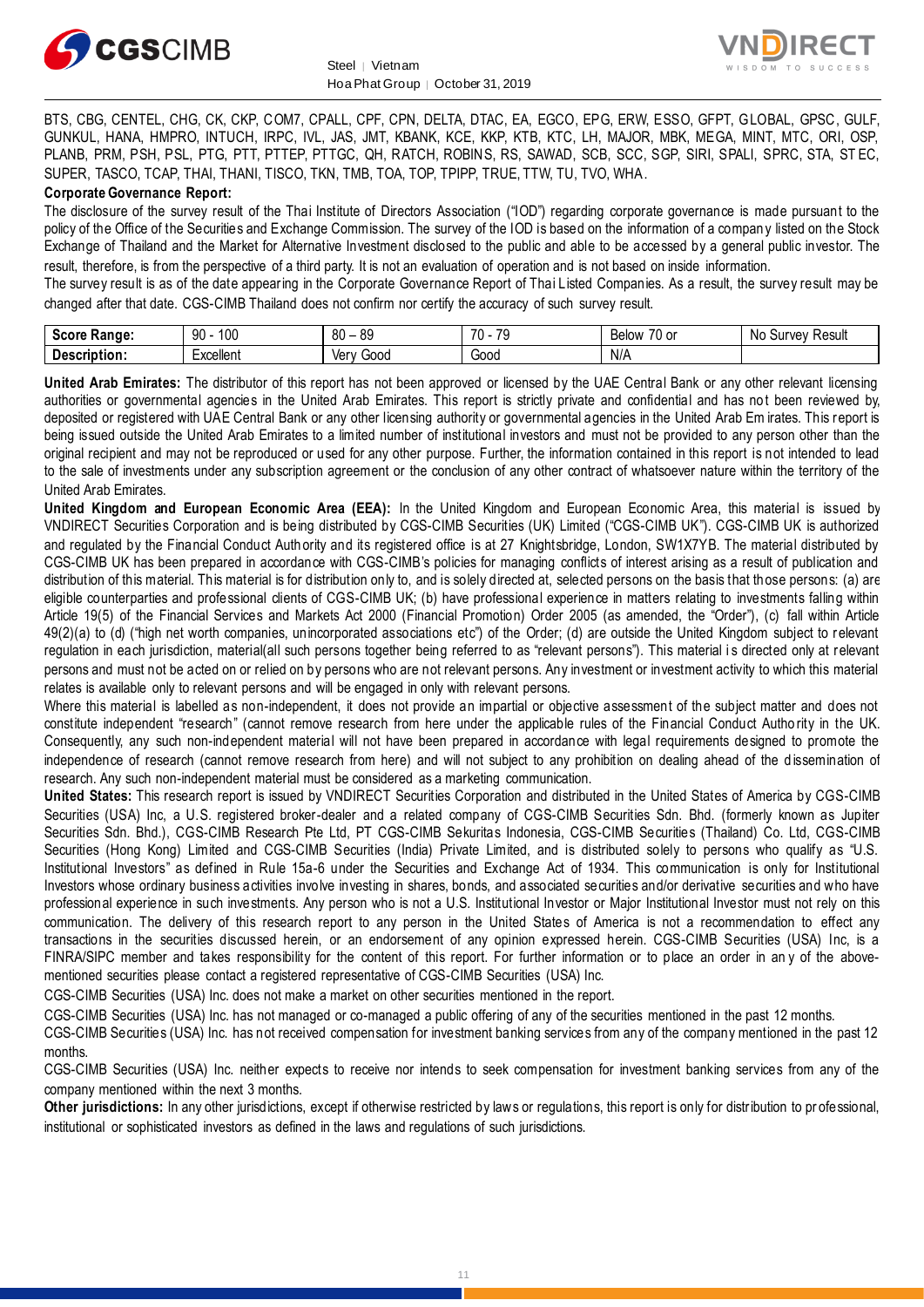



BTS, CBG, CENTEL, CHG, CK, CKP, COM7, CPALL, CPF, CPN, DELTA, DTAC, EA, EGCO, EPG, ERW, ESSO, GFPT, GLOBAL, GPSC, GULF, GUNKUL, HANA, HMPRO, INTUCH, IRPC, IVL, JAS, JMT, KBANK, KCE, KKP, KTB, KTC, LH, MAJOR, MBK, MEGA, MINT, MTC, ORI, OSP, PLANB, PRM, PSH, PSL, PTG, PTT, PTTEP, PTTGC, QH, RATCH, ROBINS, RS, SAWAD, SCB, SCC, SGP, SIRI, SPALI, SPRC, STA, ST EC, SUPER, TASCO, TCAP, THAI, THANI, TISCO, TKN, TMB, TOA, TOP, TPIPP, TRUE, TTW, TU, TVO, WHA.

#### **Corporate Governance Report:**

The disclosure of the survey result of the Thai Institute of Directors Association ("IOD") regarding corporate governance is made pursuant to the policy of the Office of the Securities and Exchange Commission. The survey of the IOD is based on the information of a compan y listed on the Stock Exchange of Thailand and the Market for Alternative Investment disclosed to the public and able to be accessed by a general public investor. The result, therefore, is from the perspective of a third party. It is not an evaluation of operation and is not based on inside information.

The survey result is as of the date appearing in the Corporate Governance Report of Thai Listed Companies. As a result, the survey result may be changed after that date. CGS-CIMB Thailand does not confirm nor certify the accuracy of such survey result.

| S<br>. Range:<br>อนบท | 100<br>00<br>$\cdot$ | $\circ$<br>$^{\circ}$<br>vv<br>vv | $\overline{70}$<br>$\overline{\phantom{a}}$<br>. . | 70<br>U or<br>Below<br>יוטע | Result<br>N0<br>wrvey.<br>υu |
|-----------------------|----------------------|-----------------------------------|----------------------------------------------------|-----------------------------|------------------------------|
| Description:          | ·xcellent            | 000خ<br>Verv                      | Good                                               | N/A                         |                              |

**United Arab Emirates:** The distributor of this report has not been approved or licensed by the UAE Central Bank or any other relevant licensing authorities or governmental agencies in the United Arab Emirates. This report is strictly private and confidential and has not been reviewed by, deposited or registered with UAE Central Bank or any other licensing authority or governmental agencies in the United Arab Em irates. This report is being issued outside the United Arab Emirates to a limited number of institutional investors and must not be provided to any person other than the original recipient and may not be reproduced or used for any other purpose. Further, the information contained in this report is not intended to lead to the sale of investments under any subscription agreement or the conclusion of any other contract of whatsoever nature within the territory of the United Arab Emirates.

**United Kingdom and European Economic Area (EEA):** In the United Kingdom and European Economic Area, this material is issued by VNDIRECT Securities Corporation and is being distributed by CGS-CIMB Securities (UK) Limited ("CGS-CIMB UK"). CGS-CIMB UK is authorized and regulated by the Financial Conduct Auth ority and its registered office is at 27 Knightsbridge, London, SW1X7YB. The material distributed by CGS-CIMB UK has been prepared in accordance with CGS-CIMB's policies for managing conflicts of interest arising as a result of publication and distribution of this material. This material is for distribution only to, and is solely directed at, selected persons on the basis that those persons: (a) are eligible counterparties and professional clients of CGS-CIMB UK; (b) have professional experience in matters relating to investments falling within Article 19(5) of the Financial Services and Markets Act 2000 (Financial Promotion) Order 2005 (as amended, the "Order"), (c) fall within Article 49(2)(a) to (d) ("high net worth companies, unincorporated associations etc") of the Order; (d) are outside the United Kingdom subject to relevant regulation in each jurisdiction, material(all such persons together being referred to as "relevant persons"). This material i s directed only at relevant persons and must not be acted on or relied on by persons who are not relevant persons. Any investment or investment activity to which this material relates is available only to relevant persons and will be engaged in only with relevant persons.

Where this material is labelled as non-independent, it does not provide an impartial or objective assessment of the subject matter and does not constitute independent "research" (cannot remove research from here under the applicable rules of the Financial Conduct Autho rity in the UK. Consequently, any such non-independent material will not have been prepared in accordance with legal requirements designed to promote the independence of research (cannot remove research from here) and will not subject to any prohibition on dealing ahead of the dissemination of research. Any such non-independent material must be considered as a marketing communication.

**United States:** This research report is issued by VNDIRECT Securities Corporation and distributed in the United States of America by CGS-CIMB Securities (USA) Inc, a U.S. registered broker-dealer and a related company of CGS-CIMB Securities Sdn. Bhd. (formerly known as Jupiter Securities Sdn. Bhd.), CGS-CIMB Research Pte Ltd, PT CGS-CIMB Sekuritas Indonesia, CGS-CIMB Securities (Thailand) Co. Ltd, CGS-CIMB Securities (Hong Kong) Limited and CGS-CIMB Securities (India) Private Limited, and is distributed solely to persons who qualify as "U.S. Institutional Investors" as defined in Rule 15a-6 under the Securities and Exchange Act of 1934. This communication is only for Institutional Investors whose ordinary business activities involve investing in shares, bonds, and associated securities and/or derivative securities and who have professional experience in such investments. Any person who is not a U.S. Institutional Investor or Major Institutional Investor must not rely on this communication. The delivery of this research report to any person in the United States of America is not a recommendation to effect any transactions in the securities discussed herein, or an endorsement of any opinion expressed herein. CGS-CIMB Securities (USA) Inc, is a FINRA/SIPC member and takes responsibility for the content of this report. For further information or to place an order in an y of the abovementioned securities please contact a registered representative of CGS-CIMB Securities (USA) Inc.

CGS-CIMB Securities (USA) Inc. does not make a market on other securities mentioned in the report.

CGS-CIMB Securities (USA) Inc. has not managed or co-managed a public offering of any of the securities mentioned in the past 12 months.

CGS-CIMB Securities (USA) Inc. has not received compensation for investment banking services from any of the company mentioned in the past 12 months.

CGS-CIMB Securities (USA) Inc. neither expects to receive nor intends to seek compensation for investment banking services from any of the company mentioned within the next 3 months.

**Other jurisdictions:** In any other jurisdictions, except if otherwise restricted by laws or regulations, this report is only for distribution to pr ofessional, institutional or sophisticated investors as defined in the laws and regulations of such jurisdictions.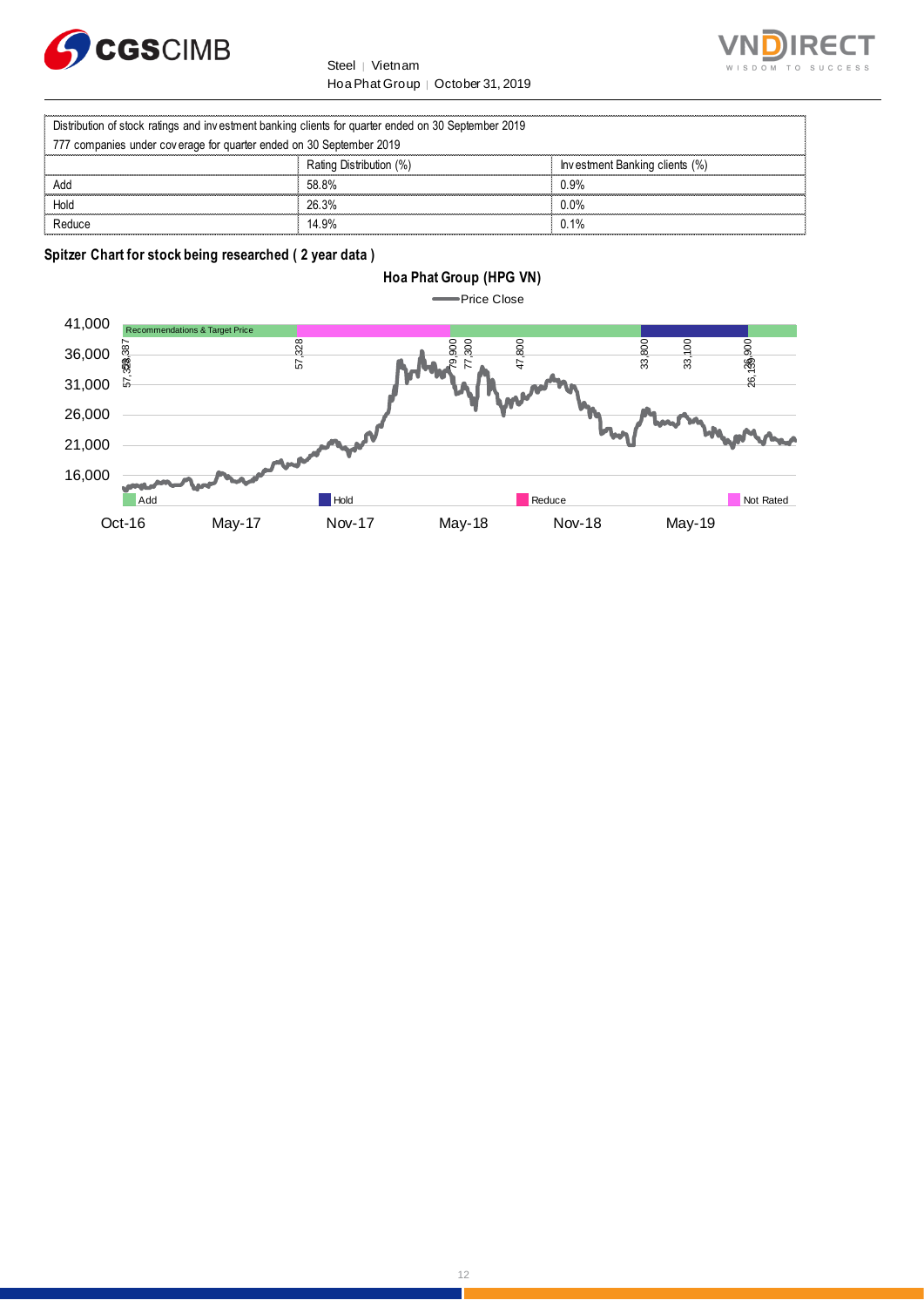



|                                                                                                     | Steel  <br>Vietnam                | WISDOM TO                      |
|-----------------------------------------------------------------------------------------------------|-----------------------------------|--------------------------------|
|                                                                                                     | Hoa Phat Group   October 31, 2019 |                                |
| Distribution of stock ratings and investment banking clients for quarter ended on 30 September 2019 |                                   |                                |
| 777 companies under coverage for quarter ended on 30 September 2019                                 |                                   |                                |
|                                                                                                     | Rating Distribution (%)           | Investment Banking clients (%) |
| Add                                                                                                 | 58.8%                             | 0.9%                           |
| Hold                                                                                                | 26.3%                             | $0.0\%$                        |
| Reduce                                                                                              | 14.9%                             | 0.1%                           |

**Spitzer Chart for stock being researched ( 2 year data )** 



12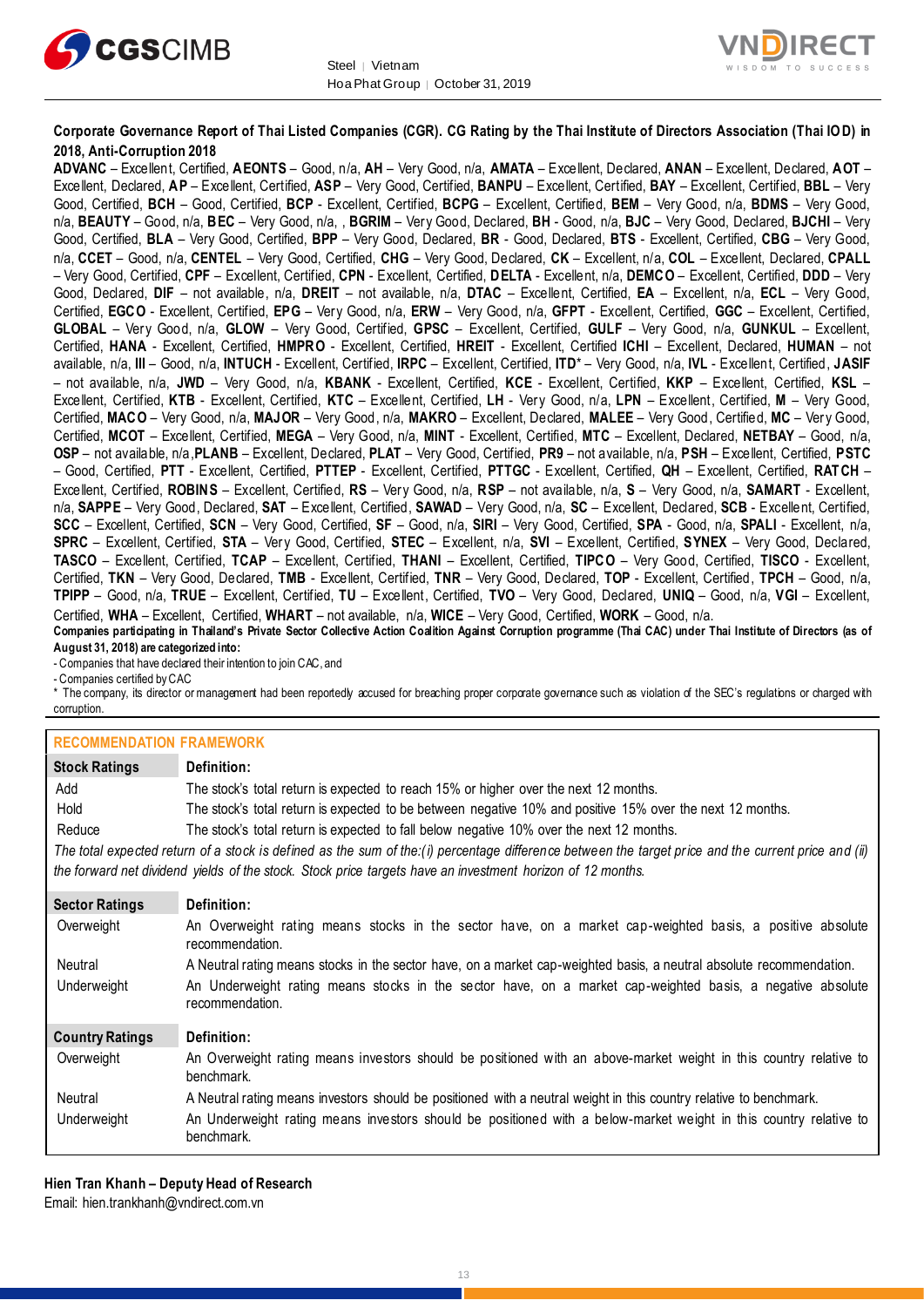



#### **Corporate Governance Report of Thai Listed Companies (CGR). CG Rating by the Thai Institute of Directors Association (Thai IOD) in 2018, Anti-Corruption 2018**

**ADVANC** – Excellent, Certified, **AEONTS** – Good, n/a, **AH** – Very Good, n/a, **AMATA** – Excellent, Declared, **ANAN** – Excellent, Declared, **AOT** – Excellent, Declared, **AP** – Excellent, Certified, **ASP** – Very Good, Certified, **BANPU** – Excellent, Certified, **BAY** – Excellent, Certified, **BBL** – Very Good, Certified, **BCH** – Good, Certified, **BCP** - Excellent, Certified, **BCPG** – Excellent, Certified, **BEM** – Very Good, n/a, **BDMS** – Very Good, n/a, **BEAUTY** – Good, n/a, **BEC** – Very Good, n/a, , **BGRIM** – Very Good, Declared, **BH** - Good, n/a, **BJC** – Very Good, Declared, **BJCHI** – Very Good, Certified, **BLA** – Very Good, Certified, **BPP** – Very Good, Declared, **BR** - Good, Declared, **BTS** - Excellent, Certified, **CBG** – Very Good, n/a, **CCET** – Good, n/a, **CENTEL** – Very Good, Certified, **CHG** – Very Good, Declared, **CK** – Excellent, n/a, **COL** – Excellent, Declared, **CPALL** – Very Good, Certified, **CPF** – Excellent, Certified, **CPN** - Excellent, Certified, **DELTA** - Excellent, n/a, **DEMCO** – Excellent, Certified, **DDD** – Very Good, Declared, **DIF** – not available, n/a, **DREIT** – not available, n/a, **DTAC** – Excellent, Certified, **EA** – Excellent, n/a, **ECL** – Very Good, Certified, **EGCO** - Excellent, Certified, **EPG** – Very Good, n/a, **ERW** – Very Good, n/a, **GFPT** - Excellent, Certified, **GGC** – Excellent, Certified, **GLOBAL** – Very Good, n/a, **GLOW** – Very Good, Certified, **GPSC** – Excellent, Certified, **GULF** – Very Good, n/a, **GUNKUL** – Excellent, Certified, **HANA** - Excellent, Certified, **HMPRO** - Excellent, Certified, **HREIT** - Excellent, Certified **ICHI** – Excellent, Declared, **HUMAN** – not available, n/a, **III** – Good, n/a, **INTUCH** - Excellent, Certified, **IRPC** – Excellent, Certified, **ITD**\* – Very Good, n/a, **IVL** - Excellent, Certified, **JASIF** – not available, n/a, **JWD** – Very Good, n/a, **KBANK** - Excellent, Certified, **KCE** - Excellent, Certified, **KKP** – Excellent, Certified, **KSL** – Excellent, Certified, **KTB** - Excellent, Certified, **KTC** – Excellent, Certified, **LH** - Very Good, n/a, **LPN** – Excellent, Certified, **M** – Very Good, Certified, **MACO** – Very Good, n/a, **MAJOR** – Very Good, n/a, **MAKRO** – Excellent, Declared, **MALEE** – Very Good, Certified, **MC** – Very Good, Certified, **MCOT** – Excellent, Certified, **MEGA** – Very Good, n/a, **MINT** - Excellent, Certified, **MTC** – Excellent, Declared, **NETBAY** – Good, n/a, **OSP** – not available, n/a,**PLANB** – Excellent, Declared, **PLAT** – Very Good, Certified, **PR9** – not available, n/a, **PSH** – Excellent, Certified, **PSTC** – Good, Certified, **PTT** - Excellent, Certified, **PTTEP** - Excellent, Certified, **PTTGC** - Excellent, Certified, **QH** – Excellent, Certified, **RATCH** – Excellent, Certified, **ROBINS** – Excellent, Certified, **RS** – Very Good, n/a, **RSP** – not available, n/a, **S** – Very Good, n/a, **SAMART** - Excellent, n/a, **SAPPE** – Very Good, Declared, **SAT** – Excellent, Certified, **SAWAD** – Very Good, n/a, **SC** – Excellent, Declared, **SCB** - Excellent, Certified, **SCC** – Excellent, Certified, **SCN** – Very Good, Certified, **SF** – Good, n/a, **SIRI** – Very Good, Certified, **SPA** - Good, n/a, **SPALI** - Excellent, n/a, **SPRC** – Excellent, Certified, **STA** – Very Good, Certified, **STEC** – Excellent, n/a, **SVI** – Excellent, Certified, **SYNEX** – Very Good, Declared, **TASCO** – Excellent, Certified, **TCAP** – Excellent, Certified, **THANI** – Excellent, Certified, **TIPCO** – Very Good, Certified, **TISCO** - Excellent, Certified, **TKN** – Very Good, Declared, **TMB** - Excellent, Certified, **TNR** – Very Good, Declared, **TOP** - Excellent, Certified, **TPCH** – Good, n/a, **TPIPP** – Good, n/a, **TRUE** – Excellent, Certified, **TU** – Excellent, Certified, **TVO** – Very Good, Declared, **UNIQ** – Good, n/a, **VGI** – Excellent, Certified, **WHA** – Excellent, Certified, **WHART** – not available, n/a, **WICE** – Very Good, Certified, **WORK** – Good, n/a. **Companies participating in Thailand's Private Sector Collective Action Coalition Against Corruption programme (Thai CAC) under Thai Institute of Directors (as of** 

**August 31, 2018) are categorized into:**

- Companies that have declared their intention to join CAC, and

- Companies certified by CAC

\* The company, its director or management had been reportedly accused for breaching proper corporate governance such as violation of the SEC's regulations or charged with corruption.

#### **RECOMMENDATION FRAMEWORK**

| <b>Stock Ratings</b>   | Definition:                                                                                                                                         |
|------------------------|-----------------------------------------------------------------------------------------------------------------------------------------------------|
| Add                    | The stock's total return is expected to reach 15% or higher over the next 12 months.                                                                |
| Hold                   | The stock's total return is expected to be between negative 10% and positive 15% over the next 12 months.                                           |
| Reduce                 | The stock's total return is expected to fall below negative 10% over the next 12 months.                                                            |
|                        | The total expected return of a stock is defined as the sum of the:(i) percentage difference between the target price and the current price and (ii) |
|                        | the forward net dividend yields of the stock. Stock price targets have an investment horizon of 12 months.                                          |
| <b>Sector Ratings</b>  | Definition:                                                                                                                                         |
| Overweight             | An Overweight rating means stocks in the sector have, on a market cap-weighted basis, a positive absolute<br>recommendation.                        |
| Neutral                | A Neutral rating means stocks in the sector have, on a market cap-weighted basis, a neutral absolute recommendation.                                |
| Underweight            | An Underweight rating means stocks in the sector have, on a market cap-weighted basis, a negative absolute<br>recommendation.                       |
| <b>Country Ratings</b> | Definition:                                                                                                                                         |
| Overweight             | An Overweight rating means investors should be positioned with an above-market weight in this country relative to<br>benchmark.                     |
| Neutral                | A Neutral rating means investors should be positioned with a neutral weight in this country relative to benchmark.                                  |
| Underweight            | An Underweight rating means investors should be positioned with a below-market weight in this country relative to<br>benchmark.                     |

**Hien Tran Khanh – Deputy Head of Research** Email: [hien.trankhanh@vndirect.com.vn](mailto:hien.trankhanh@vndirect.com.vn)